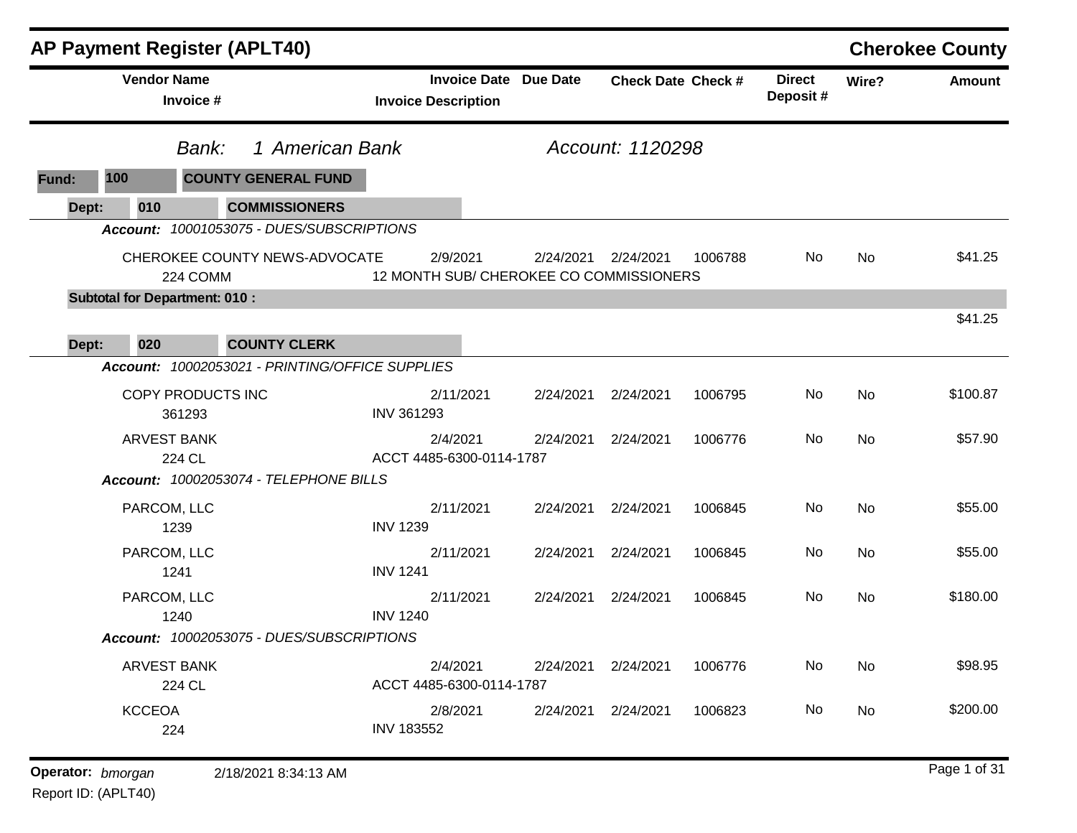|       |                    | <b>AP Payment Register (APLT40)</b>              |                                                            |           |                           |         |                           |           | <b>Cherokee County</b> |
|-------|--------------------|--------------------------------------------------|------------------------------------------------------------|-----------|---------------------------|---------|---------------------------|-----------|------------------------|
|       | <b>Vendor Name</b> | Invoice #                                        | <b>Invoice Date Due Date</b><br><b>Invoice Description</b> |           | <b>Check Date Check #</b> |         | <b>Direct</b><br>Deposit# | Wire?     | <b>Amount</b>          |
|       |                    | 1 American Bank<br>Bank:                         |                                                            |           | Account: 1120298          |         |                           |           |                        |
| Fund: | 100                | <b>COUNTY GENERAL FUND</b>                       |                                                            |           |                           |         |                           |           |                        |
| Dept: | 010                | <b>COMMISSIONERS</b>                             |                                                            |           |                           |         |                           |           |                        |
|       |                    | Account: 10001053075 - DUES/SUBSCRIPTIONS        |                                                            |           |                           |         |                           |           |                        |
|       |                    | CHEROKEE COUNTY NEWS-ADVOCATE<br>224 COMM        | 2/9/2021<br>12 MONTH SUB/ CHEROKEE CO COMMISSIONERS        | 2/24/2021 | 2/24/2021                 | 1006788 | No                        | <b>No</b> | \$41.25                |
|       |                    | <b>Subtotal for Department: 010:</b>             |                                                            |           |                           |         |                           |           |                        |
|       |                    |                                                  |                                                            |           |                           |         |                           |           | \$41.25                |
| Dept: | 020                | <b>COUNTY CLERK</b>                              |                                                            |           |                           |         |                           |           |                        |
|       |                    | Account: 10002053021 - PRINTING/OFFICE SUPPLIES  |                                                            |           |                           |         |                           |           |                        |
|       |                    | COPY PRODUCTS INC<br>361293                      | 2/11/2021<br>INV 361293                                    | 2/24/2021 | 2/24/2021                 | 1006795 | No                        | <b>No</b> | \$100.87               |
|       |                    | <b>ARVEST BANK</b>                               | 2/4/2021                                                   | 2/24/2021 | 2/24/2021                 | 1006776 | No                        | <b>No</b> | \$57.90                |
|       |                    | 224 CL<br>Account: 10002053074 - TELEPHONE BILLS | ACCT 4485-6300-0114-1787                                   |           |                           |         |                           |           |                        |
|       |                    |                                                  |                                                            |           |                           |         |                           |           |                        |
|       | PARCOM, LLC        | 1239                                             | 2/11/2021<br><b>INV 1239</b>                               | 2/24/2021 | 2/24/2021                 | 1006845 | No                        | No        | \$55.00                |
|       | PARCOM, LLC        | 1241                                             | 2/11/2021<br><b>INV 1241</b>                               | 2/24/2021 | 2/24/2021                 | 1006845 | No                        | <b>No</b> | \$55.00                |
|       | PARCOM, LLC        | 1240                                             | 2/11/2021<br><b>INV 1240</b>                               | 2/24/2021 | 2/24/2021                 | 1006845 | No                        | No        | \$180.00               |
|       |                    | Account: 10002053075 - DUES/SUBSCRIPTIONS        |                                                            |           |                           |         |                           |           |                        |
|       |                    | <b>ARVEST BANK</b><br>224 CL                     | 2/4/2021<br>ACCT 4485-6300-0114-1787                       |           | 2/24/2021 2/24/2021       | 1006776 | No                        | No        | \$98.95                |
|       | <b>KCCEOA</b>      | 224                                              | 2/8/2021<br><b>INV 183552</b>                              | 2/24/2021 | 2/24/2021                 | 1006823 | No                        | No        | \$200.00               |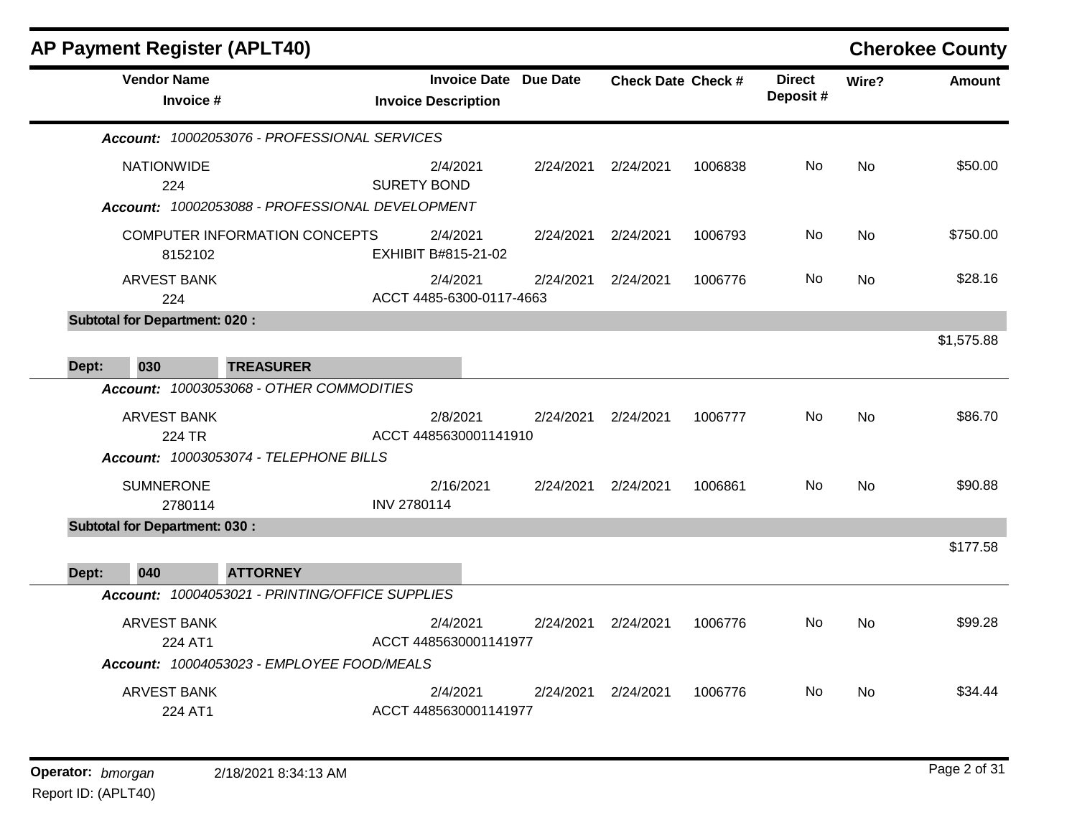|       | <b>AP Payment Register (APLT40)</b>  |                                                                                         |                                      |                              |                           |         |                           |           | <b>Cherokee County</b> |
|-------|--------------------------------------|-----------------------------------------------------------------------------------------|--------------------------------------|------------------------------|---------------------------|---------|---------------------------|-----------|------------------------|
|       | <b>Vendor Name</b><br>Invoice #      |                                                                                         | <b>Invoice Description</b>           | <b>Invoice Date Due Date</b> | <b>Check Date Check #</b> |         | <b>Direct</b><br>Deposit# | Wire?     | <b>Amount</b>          |
|       |                                      | Account: 10002053076 - PROFESSIONAL SERVICES                                            |                                      |                              |                           |         |                           |           |                        |
|       | <b>NATIONWIDE</b><br>224             |                                                                                         | 2/4/2021<br><b>SURETY BOND</b>       | 2/24/2021                    | 2/24/2021                 | 1006838 | <b>No</b>                 | <b>No</b> | \$50.00                |
|       | 8152102                              | Account: 10002053088 - PROFESSIONAL DEVELOPMENT<br><b>COMPUTER INFORMATION CONCEPTS</b> | 2/4/2021<br>EXHIBIT B#815-21-02      | 2/24/2021                    | 2/24/2021                 | 1006793 | <b>No</b>                 | <b>No</b> | \$750.00               |
|       | <b>ARVEST BANK</b><br>224            |                                                                                         | 2/4/2021<br>ACCT 4485-6300-0117-4663 | 2/24/2021                    | 2/24/2021                 | 1006776 | No.                       | No        | \$28.16                |
|       | <b>Subtotal for Department: 020:</b> |                                                                                         |                                      |                              |                           |         |                           |           | \$1,575.88             |
| Dept: | 030                                  | <b>TREASURER</b>                                                                        |                                      |                              |                           |         |                           |           |                        |
|       |                                      | Account: 10003053068 - OTHER COMMODITIES                                                |                                      |                              |                           |         |                           |           |                        |
|       | <b>ARVEST BANK</b>                   |                                                                                         | 2/8/2021                             | 2/24/2021                    | 2/24/2021                 | 1006777 | <b>No</b>                 | <b>No</b> | \$86.70                |
|       | 224 TR                               | Account: 10003053074 - TELEPHONE BILLS                                                  | ACCT 4485630001141910                |                              |                           |         |                           |           |                        |
|       | <b>SUMNERONE</b><br>2780114          |                                                                                         | 2/16/2021<br><b>INV 2780114</b>      | 2/24/2021                    | 2/24/2021                 | 1006861 | No                        | <b>No</b> | \$90.88                |
|       | <b>Subtotal for Department: 030:</b> |                                                                                         |                                      |                              |                           |         |                           |           |                        |
| Dept: | 040                                  | <b>ATTORNEY</b>                                                                         |                                      |                              |                           |         |                           |           | \$177.58               |
|       |                                      | Account: 10004053021 - PRINTING/OFFICE SUPPLIES                                         |                                      |                              |                           |         |                           |           |                        |
|       | <b>ARVEST BANK</b><br>224 AT1        |                                                                                         | 2/4/2021<br>ACCT 4485630001141977    | 2/24/2021                    | 2/24/2021                 | 1006776 | <b>No</b>                 | <b>No</b> | \$99.28                |
|       |                                      | Account: 10004053023 - EMPLOYEE FOOD/MEALS                                              |                                      |                              |                           |         |                           |           |                        |
|       | <b>ARVEST BANK</b><br>224 AT1        |                                                                                         | 2/4/2021<br>ACCT 4485630001141977    | 2/24/2021                    | 2/24/2021                 | 1006776 | No.                       | <b>No</b> | \$34.44                |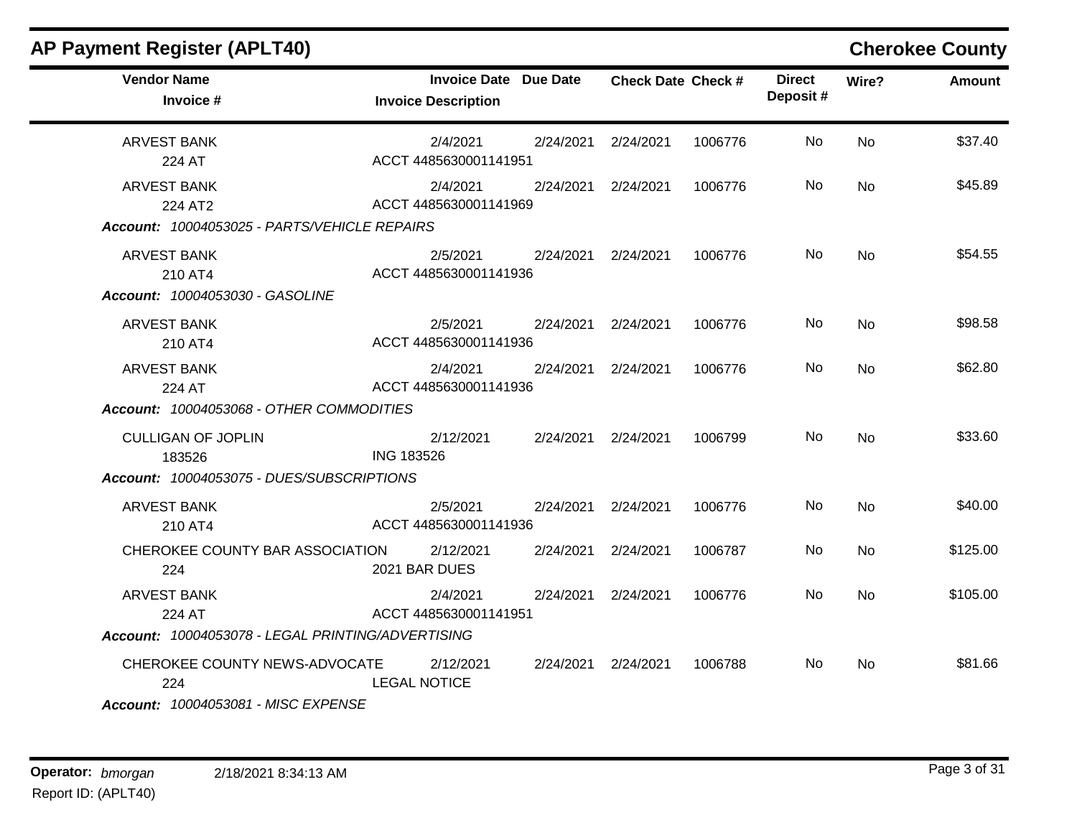| <b>AP Payment Register (APLT40)</b>                                                                                              |                                                            |           |                           |         |                            |           | <b>Cherokee County</b> |
|----------------------------------------------------------------------------------------------------------------------------------|------------------------------------------------------------|-----------|---------------------------|---------|----------------------------|-----------|------------------------|
| <b>Vendor Name</b><br>Invoice #                                                                                                  | <b>Invoice Date Due Date</b><br><b>Invoice Description</b> |           | <b>Check Date Check #</b> |         | <b>Direct</b><br>Deposit # | Wire?     | Amount                 |
| <b>ARVEST BANK</b><br>224 AT                                                                                                     | 2/4/2021<br>ACCT 4485630001141951                          | 2/24/2021 | 2/24/2021                 | 1006776 | No.                        | <b>No</b> | \$37.40                |
| <b>ARVEST BANK</b><br>224 AT2<br>Account: 10004053025 - PARTS/VEHICLE REPAIRS                                                    | 2/4/2021<br>ACCT 4485630001141969                          | 2/24/2021 | 2/24/2021                 | 1006776 | No.                        | <b>No</b> | \$45.89                |
| <b>ARVEST BANK</b><br>210 AT4<br>Account: 10004053030 - GASOLINE                                                                 | 2/5/2021<br>ACCT 4485630001141936                          |           | 2/24/2021 2/24/2021       | 1006776 | No                         | <b>No</b> | \$54.55                |
| <b>ARVEST BANK</b><br>210 AT4                                                                                                    | 2/5/2021<br>ACCT 4485630001141936                          |           | 2/24/2021 2/24/2021       | 1006776 | No                         | <b>No</b> | \$98.58                |
| <b>ARVEST BANK</b><br>224 AT<br>Account: 10004053068 - OTHER COMMODITIES                                                         | 2/4/2021<br>ACCT 4485630001141936                          | 2/24/2021 | 2/24/2021                 | 1006776 | <b>No</b>                  | <b>No</b> | \$62.80                |
| <b>CULLIGAN OF JOPLIN</b><br>183526<br>Account: 10004053075 - DUES/SUBSCRIPTIONS                                                 | 2/12/2021<br><b>ING 183526</b>                             |           | 2/24/2021 2/24/2021       | 1006799 | No                         | <b>No</b> | \$33.60                |
| ARVEST BANK<br>210 AT4                                                                                                           | 2/5/2021<br>ACCT 4485630001141936                          | 2/24/2021 | 2/24/2021                 | 1006776 | No                         | <b>No</b> | \$40.00                |
| CHEROKEE COUNTY BAR ASSOCIATION<br>224                                                                                           | 2/12/2021<br>2021 BAR DUES                                 | 2/24/2021 | 2/24/2021                 | 1006787 | No.                        | <b>No</b> | \$125.00               |
| <b>ARVEST BANK</b><br>224 AT                                                                                                     | 2/4/2021<br>ACCT 4485630001141951                          | 2/24/2021 | 2/24/2021                 | 1006776 | No.                        | <b>No</b> | \$105.00               |
| Account: 10004053078 - LEGAL PRINTING/ADVERTISING<br>CHEROKEE COUNTY NEWS-ADVOCATE<br>224<br>Account: 10004053081 - MISC EXPENSE | 2/12/2021<br><b>LEGAL NOTICE</b>                           | 2/24/2021 | 2/24/2021                 | 1006788 | No.                        | <b>No</b> | \$81.66                |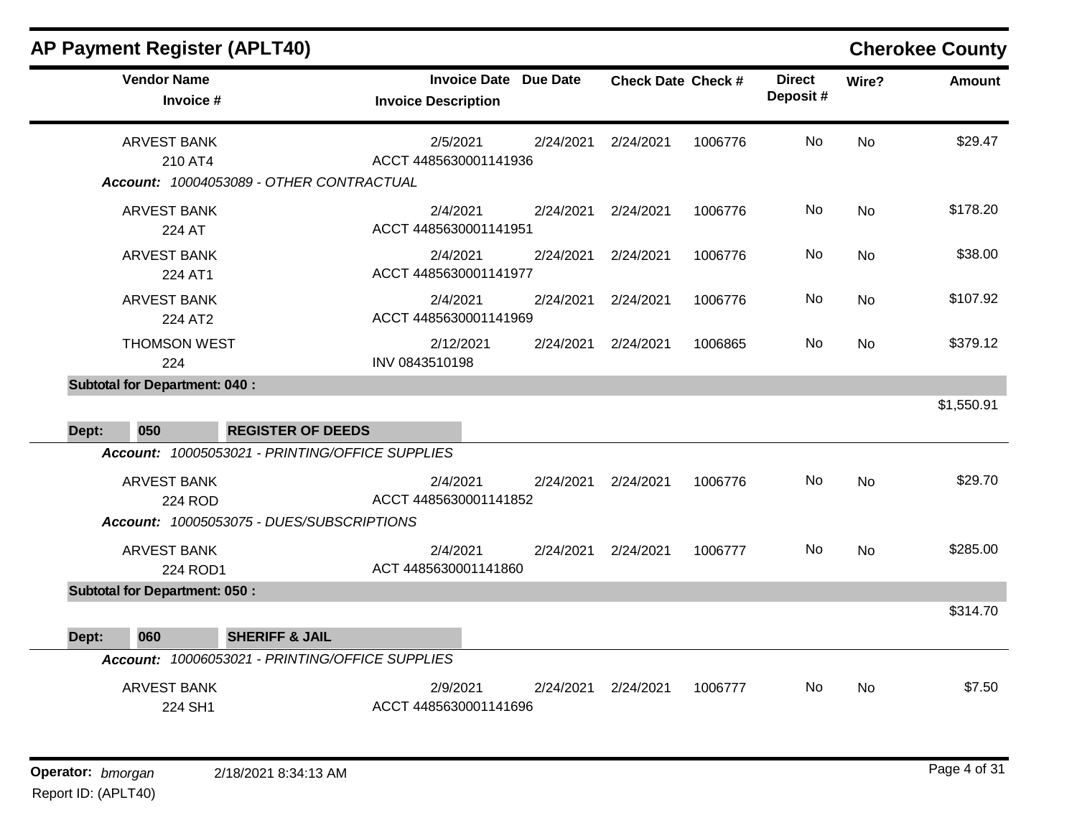| <b>AP Payment Register (APLT40)</b>                                              |                                                            |                           |         |                           |           | <b>Cherokee County</b> |
|----------------------------------------------------------------------------------|------------------------------------------------------------|---------------------------|---------|---------------------------|-----------|------------------------|
| <b>Vendor Name</b><br>Invoice #                                                  | <b>Invoice Date Due Date</b><br><b>Invoice Description</b> | <b>Check Date Check #</b> |         | <b>Direct</b><br>Deposit# | Wire?     | <b>Amount</b>          |
| <b>ARVEST BANK</b>                                                               | 2/5/2021<br>2/24/2021                                      | 2/24/2021                 | 1006776 | No                        | <b>No</b> | \$29.47                |
| 210 AT4<br>Account: 10004053089 - OTHER CONTRACTUAL                              | ACCT 4485630001141936                                      |                           |         |                           |           |                        |
|                                                                                  |                                                            |                           |         |                           |           |                        |
| <b>ARVEST BANK</b><br>224 AT                                                     | 2/4/2021<br>2/24/2021<br>ACCT 4485630001141951             | 2/24/2021                 | 1006776 | <b>No</b>                 | <b>No</b> | \$178.20               |
| <b>ARVEST BANK</b><br>224 AT1                                                    | 2/4/2021<br>2/24/2021<br>ACCT 4485630001141977             | 2/24/2021                 | 1006776 | No                        | <b>No</b> | \$38.00                |
| <b>ARVEST BANK</b><br>224 AT2                                                    | 2/4/2021<br>2/24/2021<br>ACCT 4485630001141969             | 2/24/2021                 | 1006776 | No.                       | <b>No</b> | \$107.92               |
| <b>THOMSON WEST</b><br>224                                                       | 2/12/2021<br>2/24/2021<br>INV 0843510198                   | 2/24/2021                 | 1006865 | No                        | <b>No</b> | \$379.12               |
| <b>Subtotal for Department: 040:</b><br>050<br>Dept:<br><b>REGISTER OF DEEDS</b> |                                                            |                           |         |                           |           | \$1,550.91             |
| Account: 10005053021 - PRINTING/OFFICE SUPPLIES                                  |                                                            |                           |         |                           |           |                        |
| <b>ARVEST BANK</b><br><b>224 ROD</b>                                             | 2/4/2021<br>2/24/2021<br>ACCT 4485630001141852             | 2/24/2021                 | 1006776 | <b>No</b>                 | No        | \$29.70                |
| Account: 10005053075 - DUES/SUBSCRIPTIONS                                        |                                                            |                           |         |                           |           |                        |
| <b>ARVEST BANK</b><br>224 ROD1                                                   | 2/4/2021<br>2/24/2021<br>ACT 4485630001141860              | 2/24/2021                 | 1006777 | No                        | <b>No</b> | \$285.00               |
| <b>Subtotal for Department: 050:</b>                                             |                                                            |                           |         |                           |           |                        |
|                                                                                  |                                                            |                           |         |                           |           | \$314.70               |
| 060<br><b>SHERIFF &amp; JAIL</b><br>Dept:                                        |                                                            |                           |         |                           |           |                        |
| Account: 10006053021 - PRINTING/OFFICE SUPPLIES                                  |                                                            |                           |         |                           |           |                        |
| <b>ARVEST BANK</b><br>224 SH1                                                    | 2/9/2021<br>2/24/2021<br>ACCT 4485630001141696             | 2/24/2021                 | 1006777 | No                        | <b>No</b> | \$7.50                 |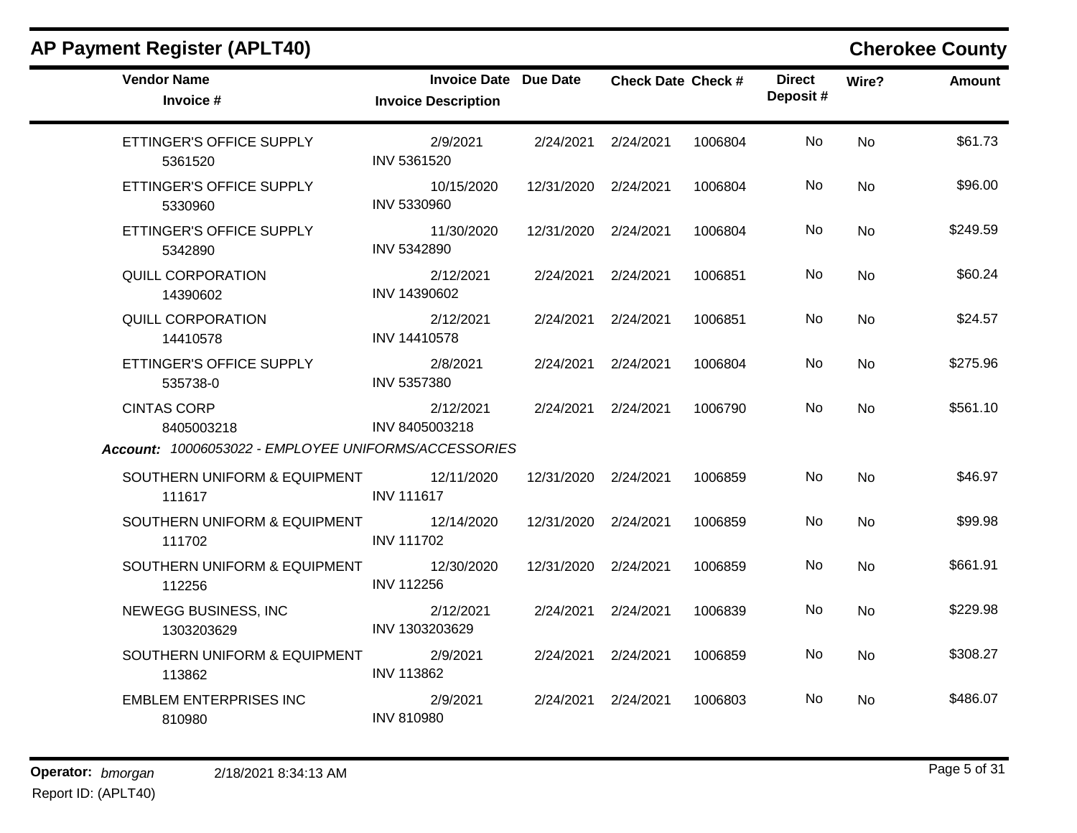| <b>Vendor Name</b><br>Invoice #                                                          | <b>Invoice Date Due Date</b><br><b>Invoice Description</b> |                      | <b>Check Date Check #</b> |         | <b>Direct</b><br>Deposit# | Wire?     | Amount   |
|------------------------------------------------------------------------------------------|------------------------------------------------------------|----------------------|---------------------------|---------|---------------------------|-----------|----------|
| ETTINGER'S OFFICE SUPPLY<br>5361520                                                      | 2/9/2021<br>INV 5361520                                    | 2/24/2021 2/24/2021  |                           | 1006804 | No.                       | <b>No</b> | \$61.73  |
| ETTINGER'S OFFICE SUPPLY<br>5330960                                                      | 10/15/2020<br>INV 5330960                                  | 12/31/2020 2/24/2021 |                           | 1006804 | No.                       | <b>No</b> | \$96.00  |
| ETTINGER'S OFFICE SUPPLY<br>5342890                                                      | 11/30/2020<br>INV 5342890                                  | 12/31/2020 2/24/2021 |                           | 1006804 | No                        | <b>No</b> | \$249.59 |
| <b>QUILL CORPORATION</b><br>14390602                                                     | 2/12/2021<br>INV 14390602                                  | 2/24/2021 2/24/2021  |                           | 1006851 | No                        | No        | \$60.24  |
| <b>QUILL CORPORATION</b><br>14410578                                                     | 2/12/2021<br>INV 14410578                                  | 2/24/2021 2/24/2021  |                           | 1006851 | No.                       | <b>No</b> | \$24.57  |
| ETTINGER'S OFFICE SUPPLY<br>535738-0                                                     | 2/8/2021<br>INV 5357380                                    | 2/24/2021 2/24/2021  |                           | 1006804 | No.                       | <b>No</b> | \$275.96 |
| <b>CINTAS CORP</b><br>8405003218<br>Account: 10006053022 - EMPLOYEE UNIFORMS/ACCESSORIES | 2/12/2021<br>INV 8405003218                                | 2/24/2021 2/24/2021  |                           | 1006790 | <b>No</b>                 | <b>No</b> | \$561.10 |
|                                                                                          |                                                            |                      |                           |         |                           |           |          |
| SOUTHERN UNIFORM & EQUIPMENT 12/11/2020<br>111617                                        | <b>INV 111617</b>                                          | 12/31/2020 2/24/2021 |                           | 1006859 | <b>No</b>                 | <b>No</b> | \$46.97  |
| SOUTHERN UNIFORM & EQUIPMENT<br>111702                                                   | 12/14/2020<br><b>INV 111702</b>                            | 12/31/2020 2/24/2021 |                           | 1006859 | No                        | <b>No</b> | \$99.98  |
| SOUTHERN UNIFORM & EQUIPMENT<br>112256                                                   | 12/30/2020<br><b>INV 112256</b>                            | 12/31/2020 2/24/2021 |                           | 1006859 | No                        | <b>No</b> | \$661.91 |
| NEWEGG BUSINESS, INC<br>1303203629                                                       | 2/12/2021<br>INV 1303203629                                | 2/24/2021 2/24/2021  |                           | 1006839 | No                        | <b>No</b> | \$229.98 |
| SOUTHERN UNIFORM & EQUIPMENT<br>113862                                                   | 2/9/2021<br>INV 113862                                     | 2/24/2021 2/24/2021  |                           | 1006859 | No.                       | <b>No</b> | \$308.27 |
| <b>EMBLEM ENTERPRISES INC</b><br>810980                                                  | 2/9/2021<br><b>INV 810980</b>                              | 2/24/2021 2/24/2021  |                           | 1006803 | No                        | <b>No</b> | \$486.07 |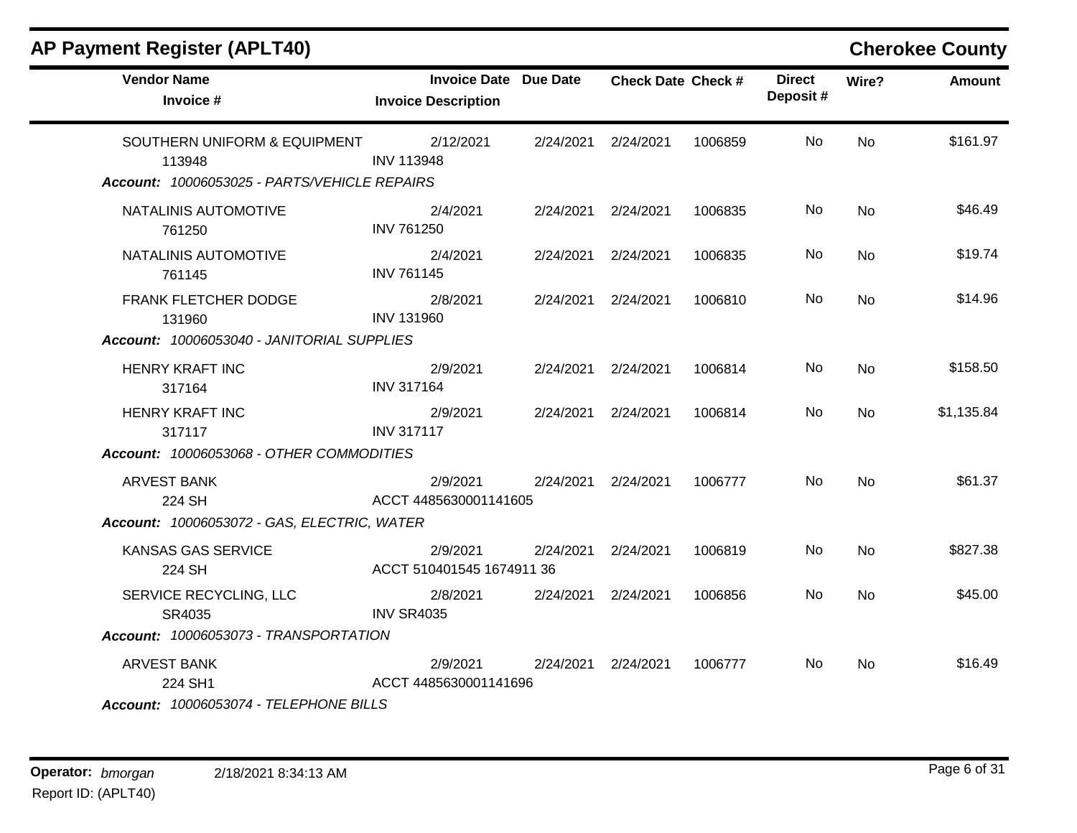| <b>Vendor Name</b><br>Invoice #                                                        | <b>Invoice Date Due Date</b><br><b>Invoice Description</b> | <b>Check Date Check #</b> |         | <b>Direct</b><br>Deposit# | Wire?     | <b>Amount</b> |
|----------------------------------------------------------------------------------------|------------------------------------------------------------|---------------------------|---------|---------------------------|-----------|---------------|
| SOUTHERN UNIFORM & EQUIPMENT<br>113948<br>Account: 10006053025 - PARTS/VEHICLE REPAIRS | 2/12/2021<br><b>INV 113948</b>                             | 2/24/2021 2/24/2021       | 1006859 | No                        | <b>No</b> | \$161.97      |
| NATALINIS AUTOMOTIVE<br>761250                                                         | 2/4/2021<br><b>INV 761250</b>                              | 2/24/2021 2/24/2021       | 1006835 | No                        | <b>No</b> | \$46.49       |
| NATALINIS AUTOMOTIVE<br>761145                                                         | 2/4/2021<br><b>INV 761145</b>                              | 2/24/2021 2/24/2021       | 1006835 | No.                       | <b>No</b> | \$19.74       |
| FRANK FLETCHER DODGE<br>131960                                                         | 2/8/2021<br><b>INV 131960</b>                              | 2/24/2021 2/24/2021       | 1006810 | No.                       | <b>No</b> | \$14.96       |
| Account: 10006053040 - JANITORIAL SUPPLIES                                             |                                                            |                           |         |                           |           |               |
| <b>HENRY KRAFT INC</b><br>317164                                                       | 2/9/2021<br><b>INV 317164</b>                              | 2/24/2021 2/24/2021       | 1006814 | No                        | <b>No</b> | \$158.50      |
| <b>HENRY KRAFT INC</b><br>317117                                                       | 2/9/2021<br><b>INV 317117</b>                              | 2/24/2021 2/24/2021       | 1006814 | No                        | No        | \$1,135.84    |
| Account: 10006053068 - OTHER COMMODITIES                                               |                                                            |                           |         |                           |           |               |
| <b>ARVEST BANK</b><br>224 SH                                                           | 2/9/2021<br>ACCT 4485630001141605                          | 2/24/2021 2/24/2021       | 1006777 | No                        | <b>No</b> | \$61.37       |
| Account: 10006053072 - GAS, ELECTRIC, WATER                                            |                                                            |                           |         |                           |           |               |
| <b>KANSAS GAS SERVICE</b><br>224 SH                                                    | 2/9/2021<br>ACCT 510401545 1674911 36                      | 2/24/2021 2/24/2021       | 1006819 | No                        | <b>No</b> | \$827.38      |
| SERVICE RECYCLING, LLC<br>SR4035                                                       | 2/8/2021<br><b>INV SR4035</b>                              | 2/24/2021 2/24/2021       | 1006856 | No.                       | No        | \$45.00       |
| Account: 10006053073 - TRANSPORTATION                                                  |                                                            |                           |         |                           |           |               |
| <b>ARVEST BANK</b><br>224 SH1<br>Account: 10006053074 - TELEPHONE BILLS                | 2/9/2021<br>ACCT 4485630001141696                          | 2/24/2021 2/24/2021       | 1006777 | No.                       | <b>No</b> | \$16.49       |

### **AP Payment Register (APLT40) Cherokee County**  $\blacksquare$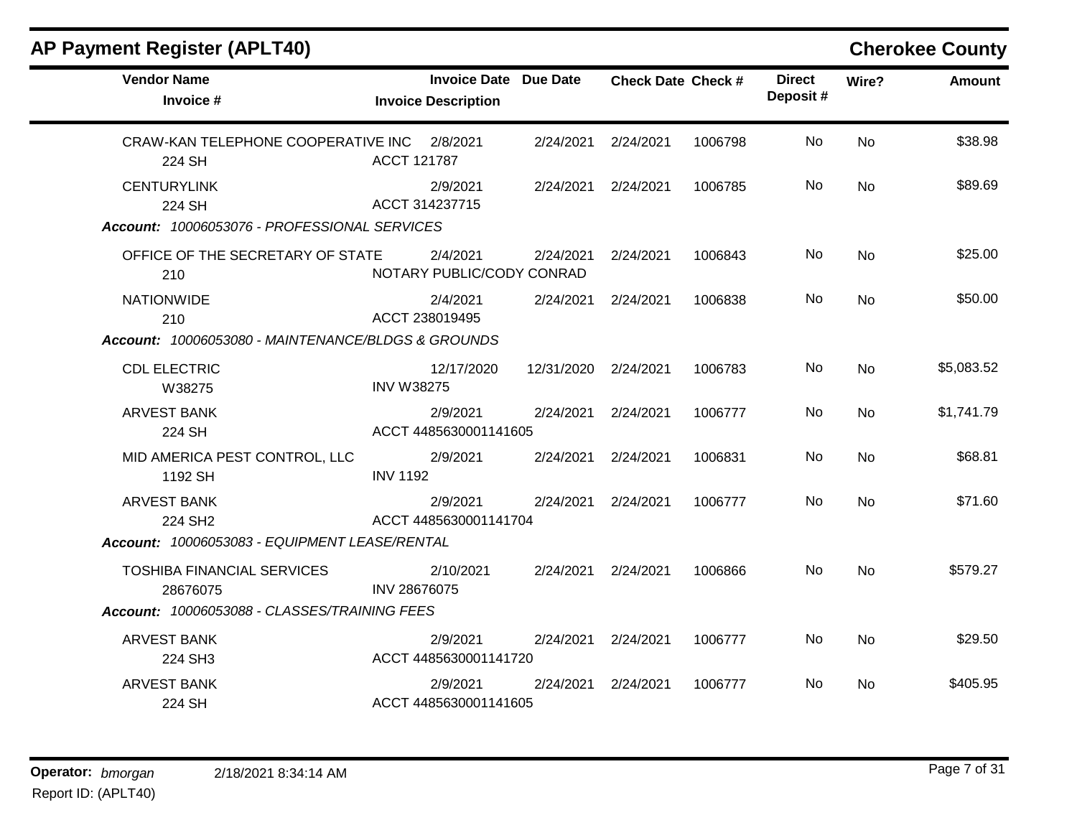| <b>AP Payment Register (APLT40)</b>                                            |                   |                                                            |            |                           |         |                           |           | <b>Cherokee County</b> |
|--------------------------------------------------------------------------------|-------------------|------------------------------------------------------------|------------|---------------------------|---------|---------------------------|-----------|------------------------|
| <b>Vendor Name</b><br>Invoice #                                                |                   | <b>Invoice Date Due Date</b><br><b>Invoice Description</b> |            | <b>Check Date Check #</b> |         | <b>Direct</b><br>Deposit# | Wire?     | <b>Amount</b>          |
| CRAW-KAN TELEPHONE COOPERATIVE INC<br>224 SH                                   | ACCT 121787       | 2/8/2021                                                   | 2/24/2021  | 2/24/2021                 | 1006798 | No                        | <b>No</b> | \$38.98                |
| <b>CENTURYLINK</b><br>224 SH<br>Account: 10006053076 - PROFESSIONAL SERVICES   |                   | 2/9/2021<br>ACCT 314237715                                 | 2/24/2021  | 2/24/2021                 | 1006785 | No                        | <b>No</b> | \$89.69                |
| OFFICE OF THE SECRETARY OF STATE<br>210                                        |                   | 2/4/2021<br>NOTARY PUBLIC/CODY CONRAD                      | 2/24/2021  | 2/24/2021                 | 1006843 | No                        | <b>No</b> | \$25.00                |
| <b>NATIONWIDE</b><br>210<br>Account: 10006053080 - MAINTENANCE/BLDGS & GROUNDS |                   | 2/4/2021<br>ACCT 238019495                                 | 2/24/2021  | 2/24/2021                 | 1006838 | No                        | <b>No</b> | \$50.00                |
| <b>CDL ELECTRIC</b><br>W38275                                                  | <b>INV W38275</b> | 12/17/2020                                                 | 12/31/2020 | 2/24/2021                 | 1006783 | No                        | <b>No</b> | \$5,083.52             |
| <b>ARVEST BANK</b><br>224 SH                                                   |                   | 2/9/2021<br>ACCT 4485630001141605                          | 2/24/2021  | 2/24/2021                 | 1006777 | No                        | <b>No</b> | \$1,741.79             |
| MID AMERICA PEST CONTROL, LLC<br>1192 SH                                       | <b>INV 1192</b>   | 2/9/2021                                                   | 2/24/2021  | 2/24/2021                 | 1006831 | No                        | <b>No</b> | \$68.81                |
| <b>ARVEST BANK</b><br>224 SH2<br>Account: 10006053083 - EQUIPMENT LEASE/RENTAL |                   | 2/9/2021<br>ACCT 4485630001141704                          | 2/24/2021  | 2/24/2021                 | 1006777 | No                        | <b>No</b> | \$71.60                |
| <b>TOSHIBA FINANCIAL SERVICES</b><br>28676075                                  | INV 28676075      | 2/10/2021                                                  | 2/24/2021  | 2/24/2021                 | 1006866 | No                        | <b>No</b> | \$579.27               |
| Account: 10006053088 - CLASSES/TRAINING FEES                                   |                   |                                                            |            |                           |         |                           |           |                        |
| <b>ARVEST BANK</b><br>224 SH3                                                  |                   | 2/9/2021<br>ACCT 4485630001141720                          | 2/24/2021  | 2/24/2021                 | 1006777 | No                        | <b>No</b> | \$29.50                |
| <b>ARVEST BANK</b><br>224 SH                                                   |                   | 2/9/2021<br>ACCT 4485630001141605                          | 2/24/2021  | 2/24/2021                 | 1006777 | No                        | <b>No</b> | \$405.95               |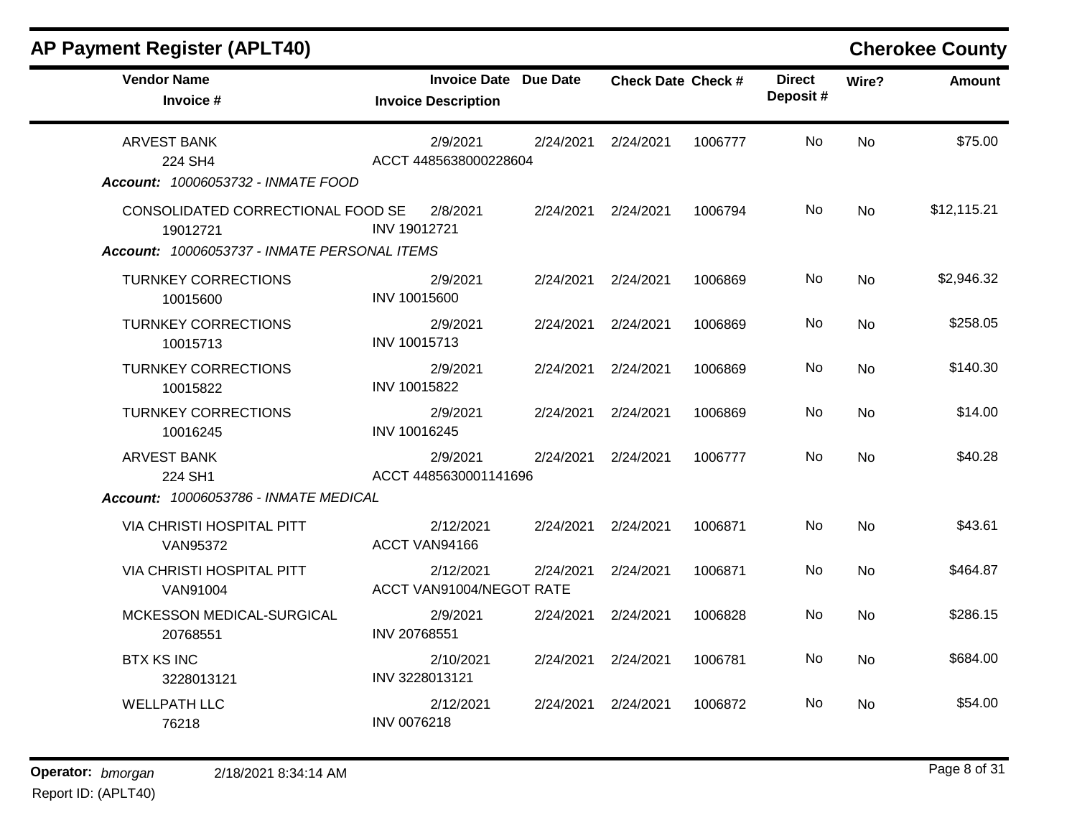| <b>Vendor Name</b><br>Invoice #                                                               | <b>Invoice Date Due Date</b><br><b>Invoice Description</b> |           | <b>Check Date Check #</b> |         | <b>Direct</b><br>Deposit# | Wire?     | <b>Amount</b> |
|-----------------------------------------------------------------------------------------------|------------------------------------------------------------|-----------|---------------------------|---------|---------------------------|-----------|---------------|
| <b>ARVEST BANK</b><br>224 SH4<br>Account: 10006053732 - INMATE FOOD                           | 2/9/2021<br>ACCT 4485638000228604                          | 2/24/2021 | 2/24/2021                 | 1006777 | No.                       | <b>No</b> | \$75.00       |
| CONSOLIDATED CORRECTIONAL FOOD SE<br>19012721<br>Account: 10006053737 - INMATE PERSONAL ITEMS | 2/8/2021<br>INV 19012721                                   | 2/24/2021 | 2/24/2021                 | 1006794 | No.                       | <b>No</b> | \$12,115.21   |
| <b>TURNKEY CORRECTIONS</b><br>10015600                                                        | 2/9/2021<br>INV 10015600                                   | 2/24/2021 | 2/24/2021                 | 1006869 | No.                       | <b>No</b> | \$2,946.32    |
| <b>TURNKEY CORRECTIONS</b><br>10015713                                                        | 2/9/2021<br>INV 10015713                                   | 2/24/2021 | 2/24/2021                 | 1006869 | <b>No</b>                 | <b>No</b> | \$258.05      |
| <b>TURNKEY CORRECTIONS</b><br>10015822                                                        | 2/9/2021<br>INV 10015822                                   | 2/24/2021 | 2/24/2021                 | 1006869 | No.                       | <b>No</b> | \$140.30      |
| <b>TURNKEY CORRECTIONS</b><br>10016245                                                        | 2/9/2021<br>INV 10016245                                   | 2/24/2021 | 2/24/2021                 | 1006869 | No.                       | <b>No</b> | \$14.00       |
| <b>ARVEST BANK</b><br>224 SH1                                                                 | 2/9/2021<br>ACCT 4485630001141696                          | 2/24/2021 | 2/24/2021                 | 1006777 | No.                       | <b>No</b> | \$40.28       |
| Account: 10006053786 - INMATE MEDICAL                                                         |                                                            |           |                           |         |                           |           |               |
| <b>VIA CHRISTI HOSPITAL PITT</b><br><b>VAN95372</b>                                           | 2/12/2021<br>ACCT VAN94166                                 | 2/24/2021 | 2/24/2021                 | 1006871 | No.                       | <b>No</b> | \$43.61       |
| <b>VIA CHRISTI HOSPITAL PITT</b><br>VAN91004                                                  | 2/12/2021<br>ACCT VAN91004/NEGOT RATE                      | 2/24/2021 | 2/24/2021                 | 1006871 | <b>No</b>                 | <b>No</b> | \$464.87      |
| MCKESSON MEDICAL-SURGICAL<br>20768551                                                         | 2/9/2021<br>INV 20768551                                   | 2/24/2021 | 2/24/2021                 | 1006828 | <b>No</b>                 | <b>No</b> | \$286.15      |
| <b>BTX KS INC</b><br>3228013121                                                               | 2/10/2021<br>INV 3228013121                                | 2/24/2021 | 2/24/2021                 | 1006781 | No.                       | <b>No</b> | \$684.00      |
| <b>WELLPATH LLC</b><br>76218                                                                  | 2/12/2021<br>INV 0076218                                   | 2/24/2021 | 2/24/2021                 | 1006872 | No.                       | <b>No</b> | \$54.00       |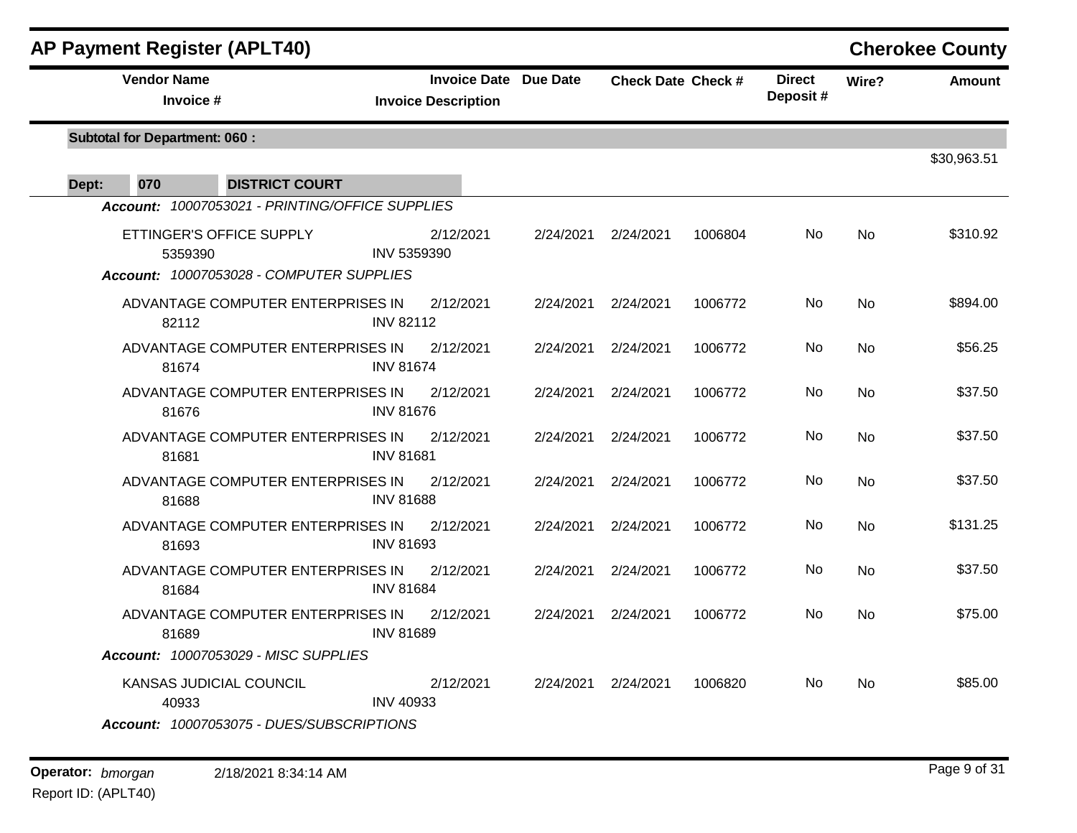| <b>AP Payment Register (APLT40)</b>             |                                                            |           |                           |         |                           |           | <b>Cherokee County</b> |
|-------------------------------------------------|------------------------------------------------------------|-----------|---------------------------|---------|---------------------------|-----------|------------------------|
| <b>Vendor Name</b><br>Invoice #                 | <b>Invoice Date Due Date</b><br><b>Invoice Description</b> |           | <b>Check Date Check #</b> |         | <b>Direct</b><br>Deposit# | Wire?     | Amount                 |
| <b>Subtotal for Department: 060:</b>            |                                                            |           |                           |         |                           |           | \$30,963.51            |
| 070<br>Dept:<br><b>DISTRICT COURT</b>           |                                                            |           |                           |         |                           |           |                        |
| Account: 10007053021 - PRINTING/OFFICE SUPPLIES |                                                            |           |                           |         |                           |           |                        |
| ETTINGER'S OFFICE SUPPLY<br>5359390             | 2/12/2021<br>INV 5359390                                   | 2/24/2021 | 2/24/2021                 | 1006804 | No.                       | No        | \$310.92               |
| Account: 10007053028 - COMPUTER SUPPLIES        |                                                            |           |                           |         |                           |           |                        |
| ADVANTAGE COMPUTER ENTERPRISES IN<br>82112      | 2/12/2021<br><b>INV 82112</b>                              | 2/24/2021 | 2/24/2021                 | 1006772 | No                        | <b>No</b> | \$894.00               |
| ADVANTAGE COMPUTER ENTERPRISES IN<br>81674      | 2/12/2021<br><b>INV 81674</b>                              | 2/24/2021 | 2/24/2021                 | 1006772 | No                        | <b>No</b> | \$56.25                |
| ADVANTAGE COMPUTER ENTERPRISES IN<br>81676      | 2/12/2021<br><b>INV 81676</b>                              | 2/24/2021 | 2/24/2021                 | 1006772 | No                        | <b>No</b> | \$37.50                |
| ADVANTAGE COMPUTER ENTERPRISES IN<br>81681      | 2/12/2021<br><b>INV 81681</b>                              | 2/24/2021 | 2/24/2021                 | 1006772 | No                        | <b>No</b> | \$37.50                |
| ADVANTAGE COMPUTER ENTERPRISES IN<br>81688      | 2/12/2021<br><b>INV 81688</b>                              | 2/24/2021 | 2/24/2021                 | 1006772 | No                        | <b>No</b> | \$37.50                |
| ADVANTAGE COMPUTER ENTERPRISES IN<br>81693      | 2/12/2021<br><b>INV 81693</b>                              | 2/24/2021 | 2/24/2021                 | 1006772 | No                        | <b>No</b> | \$131.25               |
| ADVANTAGE COMPUTER ENTERPRISES IN<br>81684      | 2/12/2021<br><b>INV 81684</b>                              | 2/24/2021 | 2/24/2021                 | 1006772 | No                        | No        | \$37.50                |
| ADVANTAGE COMPUTER ENTERPRISES IN<br>81689      | 2/12/2021<br><b>INV 81689</b>                              | 2/24/2021 | 2/24/2021                 | 1006772 | No.                       | <b>No</b> | \$75.00                |
| Account: 10007053029 - MISC SUPPLIES            |                                                            |           |                           |         |                           |           |                        |
| KANSAS JUDICIAL COUNCIL<br>40933                | 2/12/2021<br><b>INV 40933</b>                              | 2/24/2021 | 2/24/2021                 | 1006820 | No.                       | <b>No</b> | \$85.00                |
| Account: 10007053075 - DUES/SUBSCRIPTIONS       |                                                            |           |                           |         |                           |           |                        |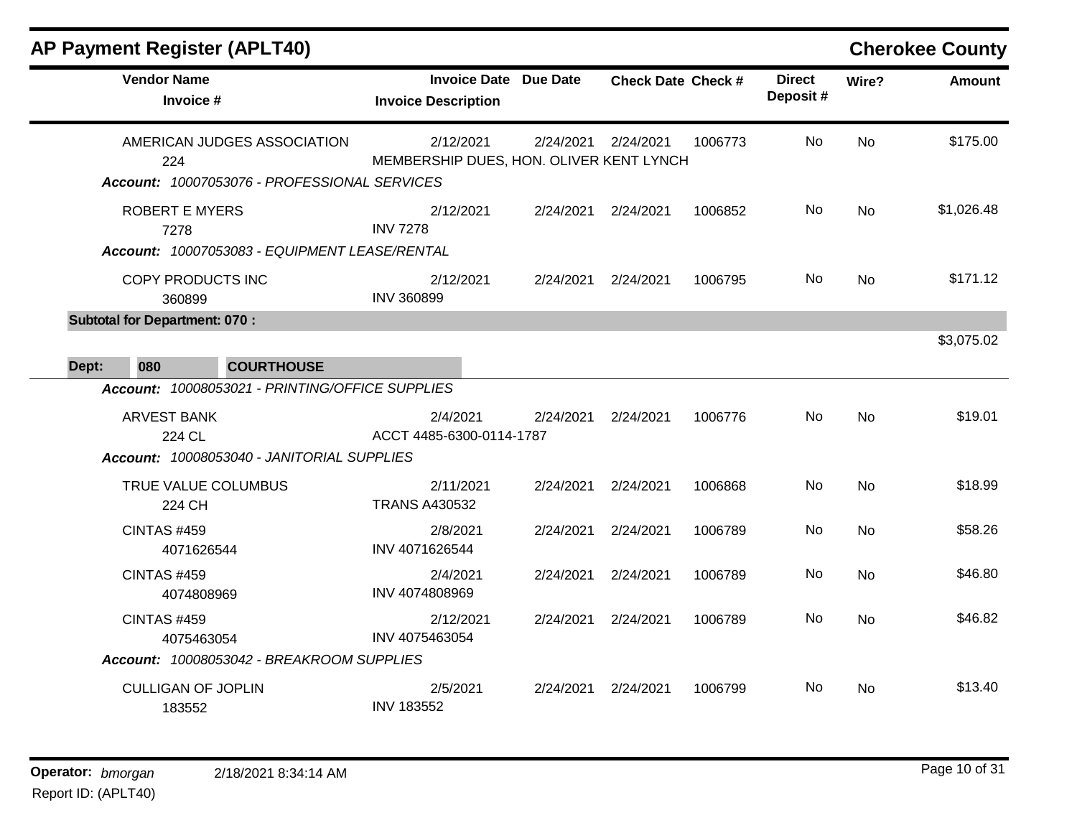|       | <b>AP Payment Register (APLT40)</b>         |                                                                             |                                                      |                              |                           |         |                           |           | <b>Cherokee County</b> |
|-------|---------------------------------------------|-----------------------------------------------------------------------------|------------------------------------------------------|------------------------------|---------------------------|---------|---------------------------|-----------|------------------------|
|       | <b>Vendor Name</b><br>Invoice #             |                                                                             | <b>Invoice Description</b>                           | <b>Invoice Date Due Date</b> | <b>Check Date Check #</b> |         | <b>Direct</b><br>Deposit# | Wire?     | <b>Amount</b>          |
|       | 224                                         | AMERICAN JUDGES ASSOCIATION<br>Account: 10007053076 - PROFESSIONAL SERVICES | 2/12/2021<br>MEMBERSHIP DUES, HON. OLIVER KENT LYNCH | 2/24/2021                    | 2/24/2021                 | 1006773 | <b>No</b>                 | <b>No</b> | \$175.00               |
|       | <b>ROBERT E MYERS</b><br>7278               |                                                                             | 2/12/2021<br><b>INV 7278</b>                         | 2/24/2021                    | 2/24/2021                 | 1006852 | No                        | <b>No</b> | \$1,026.48             |
|       | <b>COPY PRODUCTS INC</b><br>360899          | Account: 10007053083 - EQUIPMENT LEASE/RENTAL                               | 2/12/2021<br><b>INV 360899</b>                       | 2/24/2021                    | 2/24/2021                 | 1006795 | No.                       | <b>No</b> | \$171.12               |
|       | <b>Subtotal for Department: 070:</b><br>080 | <b>COURTHOUSE</b>                                                           |                                                      |                              |                           |         |                           |           | \$3,075.02             |
| Dept: |                                             | Account: 10008053021 - PRINTING/OFFICE SUPPLIES                             |                                                      |                              |                           |         |                           |           |                        |
|       | <b>ARVEST BANK</b><br>224 CL                | Account: 10008053040 - JANITORIAL SUPPLIES                                  | 2/4/2021<br>ACCT 4485-6300-0114-1787                 | 2/24/2021                    | 2/24/2021                 | 1006776 | No                        | <b>No</b> | \$19.01                |
|       | TRUE VALUE COLUMBUS<br>224 CH               |                                                                             | 2/11/2021<br><b>TRANS A430532</b>                    | 2/24/2021                    | 2/24/2021                 | 1006868 | No                        | <b>No</b> | \$18.99                |
|       | <b>CINTAS #459</b><br>4071626544            |                                                                             | 2/8/2021<br>INV 4071626544                           | 2/24/2021                    | 2/24/2021                 | 1006789 | No                        | No        | \$58.26                |
|       | <b>CINTAS #459</b><br>4074808969            |                                                                             | 2/4/2021<br>INV 4074808969                           | 2/24/2021                    | 2/24/2021                 | 1006789 | No                        | <b>No</b> | \$46.80                |
|       | <b>CINTAS #459</b><br>4075463054            | Account: 10008053042 - BREAKROOM SUPPLIES                                   | 2/12/2021<br>INV 4075463054                          | 2/24/2021                    | 2/24/2021                 | 1006789 | No                        | No        | \$46.82                |
|       | <b>CULLIGAN OF JOPLIN</b><br>183552         |                                                                             | 2/5/2021<br><b>INV 183552</b>                        | 2/24/2021                    | 2/24/2021                 | 1006799 | No                        | <b>No</b> | \$13.40                |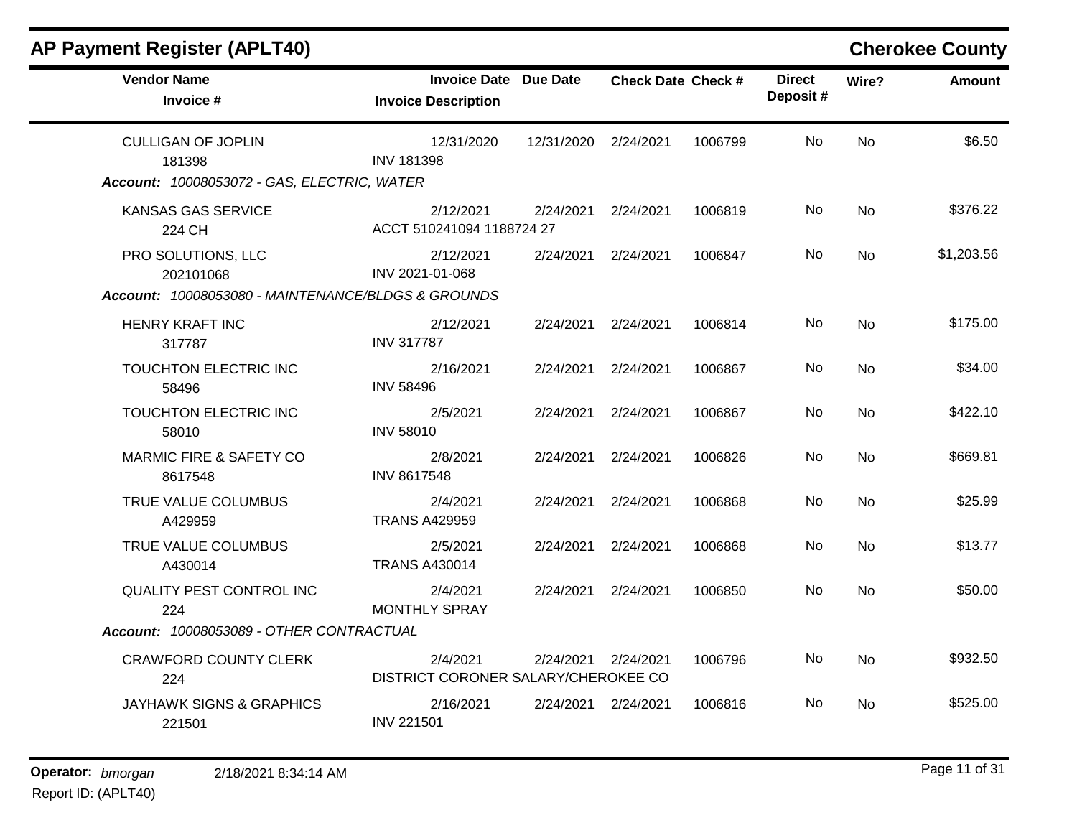| <b>AP Payment Register (APLT40)</b>                                                   |                                                            |                      |                           |         |                           |           | <b>Cherokee County</b> |
|---------------------------------------------------------------------------------------|------------------------------------------------------------|----------------------|---------------------------|---------|---------------------------|-----------|------------------------|
| <b>Vendor Name</b><br>Invoice #                                                       | <b>Invoice Date Due Date</b><br><b>Invoice Description</b> |                      | <b>Check Date Check #</b> |         | <b>Direct</b><br>Deposit# | Wire?     | <b>Amount</b>          |
| <b>CULLIGAN OF JOPLIN</b><br>181398<br>Account: 10008053072 - GAS, ELECTRIC, WATER    | 12/31/2020<br><b>INV 181398</b>                            | 12/31/2020 2/24/2021 |                           | 1006799 | No                        | <b>No</b> | \$6.50                 |
| <b>KANSAS GAS SERVICE</b><br>224 CH                                                   | 2/12/2021<br>ACCT 510241094 1188724 27                     | 2/24/2021            | 2/24/2021                 | 1006819 | No                        | No        | \$376.22               |
| PRO SOLUTIONS, LLC<br>202101068<br>Account: 10008053080 - MAINTENANCE/BLDGS & GROUNDS | 2/12/2021<br>INV 2021-01-068                               | 2/24/2021            | 2/24/2021                 | 1006847 | No.                       | No        | \$1,203.56             |
| <b>HENRY KRAFT INC</b><br>317787                                                      | 2/12/2021<br><b>INV 317787</b>                             |                      | 2/24/2021 2/24/2021       | 1006814 | No                        | <b>No</b> | \$175.00               |
| TOUCHTON ELECTRIC INC<br>58496                                                        | 2/16/2021<br><b>INV 58496</b>                              | 2/24/2021            | 2/24/2021                 | 1006867 | No                        | No        | \$34.00                |
| TOUCHTON ELECTRIC INC<br>58010                                                        | 2/5/2021<br><b>INV 58010</b>                               | 2/24/2021            | 2/24/2021                 | 1006867 | No                        | <b>No</b> | \$422.10               |
| <b>MARMIC FIRE &amp; SAFETY CO</b><br>8617548                                         | 2/8/2021<br><b>INV 8617548</b>                             | 2/24/2021            | 2/24/2021                 | 1006826 | No                        | <b>No</b> | \$669.81               |
| TRUE VALUE COLUMBUS<br>A429959                                                        | 2/4/2021<br><b>TRANS A429959</b>                           | 2/24/2021            | 2/24/2021                 | 1006868 | No.                       | <b>No</b> | \$25.99                |
| TRUE VALUE COLUMBUS<br>A430014                                                        | 2/5/2021<br><b>TRANS A430014</b>                           | 2/24/2021            | 2/24/2021                 | 1006868 | No                        | <b>No</b> | \$13.77                |
| <b>QUALITY PEST CONTROL INC</b><br>224                                                | 2/4/2021<br><b>MONTHLY SPRAY</b>                           |                      | 2/24/2021 2/24/2021       | 1006850 | No.                       | No        | \$50.00                |
| Account: 10008053089 - OTHER CONTRACTUAL                                              |                                                            |                      |                           |         |                           |           |                        |
| <b>CRAWFORD COUNTY CLERK</b><br>224                                                   | 2/4/2021<br>DISTRICT CORONER SALARY/CHEROKEE CO            | 2/24/2021            | 2/24/2021                 | 1006796 | No                        | No        | \$932.50               |
| <b>JAYHAWK SIGNS &amp; GRAPHICS</b><br>221501                                         | 2/16/2021<br><b>INV 221501</b>                             |                      | 2/24/2021 2/24/2021       | 1006816 | No                        | No        | \$525.00               |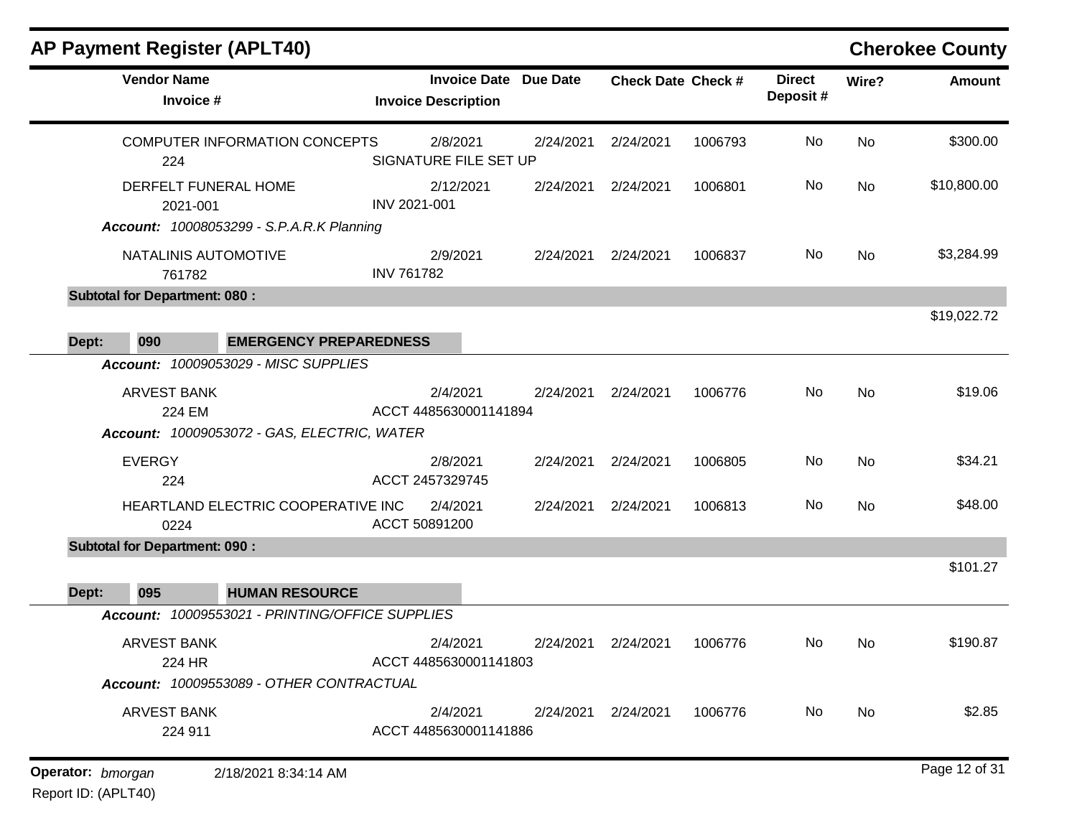|       |                                      | AP Payment Register (APLT40)                                             |                                   |                              |                           |         |                           |           | <b>Cherokee County</b> |
|-------|--------------------------------------|--------------------------------------------------------------------------|-----------------------------------|------------------------------|---------------------------|---------|---------------------------|-----------|------------------------|
|       | <b>Vendor Name</b><br>Invoice #      |                                                                          | <b>Invoice Description</b>        | <b>Invoice Date Due Date</b> | <b>Check Date Check #</b> |         | <b>Direct</b><br>Deposit# | Wire?     | <b>Amount</b>          |
|       | 224                                  | COMPUTER INFORMATION CONCEPTS                                            | 2/8/2021<br>SIGNATURE FILE SET UP | 2/24/2021                    | 2/24/2021                 | 1006793 | <b>No</b>                 | <b>No</b> | \$300.00               |
|       | 2021-001                             | DERFELT FUNERAL HOME<br><b>Account: 10008053299 - S.P.A.R.K Planning</b> | 2/12/2021<br>INV 2021-001         | 2/24/2021                    | 2/24/2021                 | 1006801 | No                        | <b>No</b> | \$10,800.00            |
|       | NATALINIS AUTOMOTIVE<br>761782       |                                                                          | 2/9/2021<br><b>INV 761782</b>     | 2/24/2021                    | 2/24/2021                 | 1006837 | No                        | <b>No</b> | \$3,284.99             |
|       | <b>Subtotal for Department: 080:</b> |                                                                          |                                   |                              |                           |         |                           |           |                        |
| Dept: | 090                                  | <b>EMERGENCY PREPAREDNESS</b>                                            |                                   |                              |                           |         |                           |           | \$19,022.72            |
|       |                                      | Account: 10009053029 - MISC SUPPLIES                                     |                                   |                              |                           |         |                           |           |                        |
|       | <b>ARVEST BANK</b><br>224 EM         | Account: 10009053072 - GAS, ELECTRIC, WATER                              | 2/4/2021<br>ACCT 4485630001141894 | 2/24/2021                    | 2/24/2021                 | 1006776 | No                        | <b>No</b> | \$19.06                |
|       | <b>EVERGY</b><br>224                 |                                                                          | 2/8/2021<br>ACCT 2457329745       | 2/24/2021                    | 2/24/2021                 | 1006805 | No                        | <b>No</b> | \$34.21                |
|       | 0224                                 | HEARTLAND ELECTRIC COOPERATIVE INC                                       | 2/4/2021<br>ACCT 50891200         | 2/24/2021                    | 2/24/2021                 | 1006813 | No                        | <b>No</b> | \$48.00                |
|       | <b>Subtotal for Department: 090:</b> |                                                                          |                                   |                              |                           |         |                           |           |                        |
| Dept: | 095                                  | <b>HUMAN RESOURCE</b>                                                    |                                   |                              |                           |         |                           |           | \$101.27               |
|       |                                      | Account: 10009553021 - PRINTING/OFFICE SUPPLIES                          |                                   |                              |                           |         |                           |           |                        |
|       | <b>ARVEST BANK</b><br>224 HR         | Account: 10009553089 - OTHER CONTRACTUAL                                 | 2/4/2021<br>ACCT 4485630001141803 | 2/24/2021                    | 2/24/2021                 | 1006776 | No                        | No.       | \$190.87               |
|       | <b>ARVEST BANK</b><br>224 911        |                                                                          | 2/4/2021<br>ACCT 4485630001141886 |                              | 2/24/2021 2/24/2021       | 1006776 | No                        | No        | \$2.85                 |
|       |                                      |                                                                          |                                   |                              |                           |         |                           |           |                        |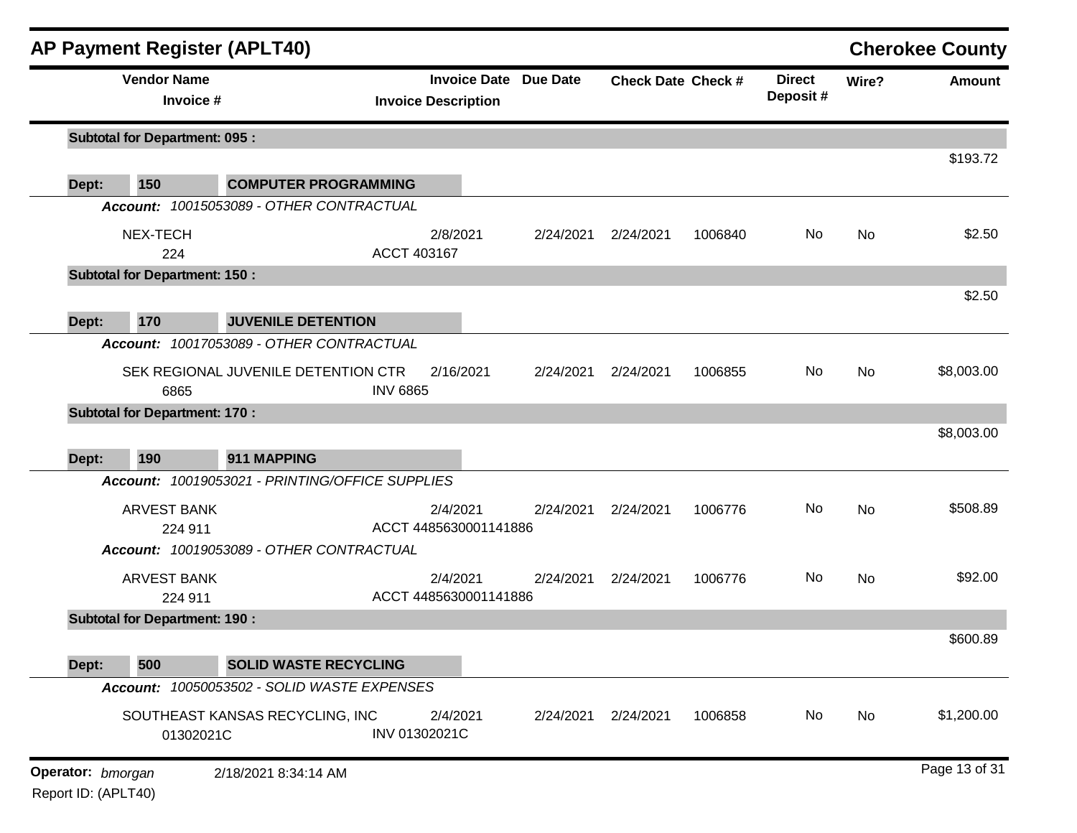|                                      | <b>AP Payment Register (APLT40)</b>             |                                                            |           |                           |         |                           |           | <b>Cherokee County</b> |
|--------------------------------------|-------------------------------------------------|------------------------------------------------------------|-----------|---------------------------|---------|---------------------------|-----------|------------------------|
| <b>Vendor Name</b>                   | Invoice #                                       | <b>Invoice Date Due Date</b><br><b>Invoice Description</b> |           | <b>Check Date Check #</b> |         | <b>Direct</b><br>Deposit# | Wire?     | <b>Amount</b>          |
| <b>Subtotal for Department: 095:</b> |                                                 |                                                            |           |                           |         |                           |           |                        |
| 150<br>Dept:                         | <b>COMPUTER PROGRAMMING</b>                     |                                                            |           |                           |         |                           |           | \$193.72               |
|                                      | Account: 10015053089 - OTHER CONTRACTUAL        |                                                            |           |                           |         |                           |           |                        |
| NEX-TECH<br>224                      |                                                 | 2/8/2021<br>ACCT 403167                                    | 2/24/2021 | 2/24/2021                 | 1006840 | No                        | <b>No</b> | \$2.50                 |
| <b>Subtotal for Department: 150:</b> |                                                 |                                                            |           |                           |         |                           |           |                        |
| 170<br>Dept:                         | <b>JUVENILE DETENTION</b>                       |                                                            |           |                           |         |                           |           | \$2.50                 |
|                                      | Account: 10017053089 - OTHER CONTRACTUAL        |                                                            |           |                           |         |                           |           |                        |
| 6865                                 | SEK REGIONAL JUVENILE DETENTION CTR             | 2/16/2021<br><b>INV 6865</b>                               | 2/24/2021 | 2/24/2021                 | 1006855 | No                        | <b>No</b> | \$8,003.00             |
| <b>Subtotal for Department: 170:</b> |                                                 |                                                            |           |                           |         |                           |           |                        |
|                                      |                                                 |                                                            |           |                           |         |                           |           | \$8,003.00             |
| 190<br>Dept:                         | 911 MAPPING                                     |                                                            |           |                           |         |                           |           |                        |
|                                      | Account: 10019053021 - PRINTING/OFFICE SUPPLIES |                                                            |           |                           |         |                           |           |                        |
| <b>ARVEST BANK</b>                   |                                                 | 2/4/2021                                                   | 2/24/2021 | 2/24/2021                 | 1006776 | No                        | <b>No</b> | \$508.89               |
| 224 911                              |                                                 | ACCT 4485630001141886                                      |           |                           |         |                           |           |                        |
|                                      | Account: 10019053089 - OTHER CONTRACTUAL        |                                                            |           |                           |         |                           |           |                        |
| <b>ARVEST BANK</b>                   |                                                 | 2/4/2021<br>ACCT 4485630001141886                          | 2/24/2021 | 2/24/2021                 | 1006776 | No                        | <b>No</b> | \$92.00                |
| <b>Subtotal for Department: 190:</b> | 224 911                                         |                                                            |           |                           |         |                           |           |                        |
|                                      |                                                 |                                                            |           |                           |         |                           |           | \$600.89               |
| 500<br>Dept:                         | <b>SOLID WASTE RECYCLING</b>                    |                                                            |           |                           |         |                           |           |                        |
|                                      | Account: 10050053502 - SOLID WASTE EXPENSES     |                                                            |           |                           |         |                           |           |                        |
|                                      | SOUTHEAST KANSAS RECYCLING, INC<br>01302021C    | 2/4/2021<br>INV 01302021C                                  |           | 2/24/2021 2/24/2021       | 1006858 | No                        | No        | \$1,200.00             |
|                                      |                                                 |                                                            |           |                           |         |                           |           | Page 13 of 31          |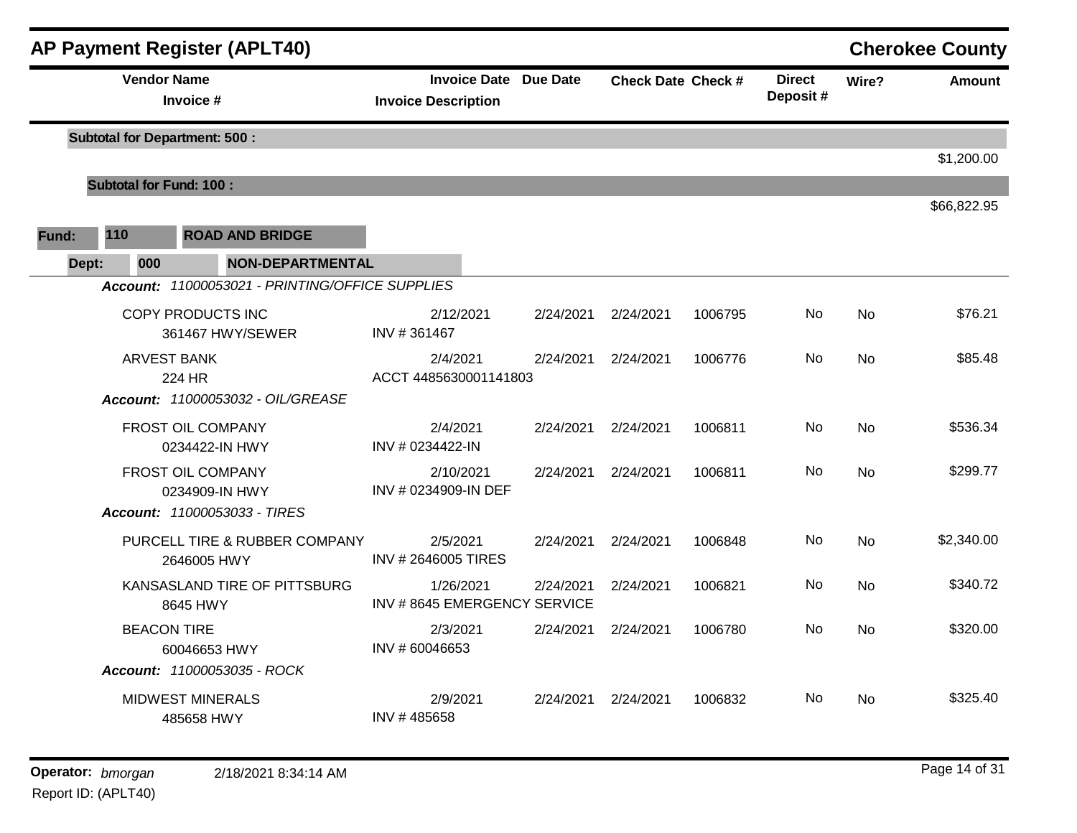|       |                                      |                    |                                       | <b>AP Payment Register (APLT40)</b>             |                            |                                   |                                          |                           |         |                           |           | <b>Cherokee County</b> |
|-------|--------------------------------------|--------------------|---------------------------------------|-------------------------------------------------|----------------------------|-----------------------------------|------------------------------------------|---------------------------|---------|---------------------------|-----------|------------------------|
|       |                                      | <b>Vendor Name</b> | Invoice #                             |                                                 | <b>Invoice Description</b> | <b>Invoice Date Due Date</b>      |                                          | <b>Check Date Check #</b> |         | <b>Direct</b><br>Deposit# | Wire?     | <b>Amount</b>          |
|       | <b>Subtotal for Department: 500:</b> |                    |                                       |                                                 |                            |                                   |                                          |                           |         |                           |           | \$1,200.00             |
|       |                                      |                    | <b>Subtotal for Fund: 100:</b>        |                                                 |                            |                                   |                                          |                           |         |                           |           |                        |
| Fund: | 110                                  |                    |                                       | <b>ROAD AND BRIDGE</b>                          |                            |                                   |                                          |                           |         |                           |           | \$66,822.95            |
|       | Dept:                                | 000                |                                       | <b>NON-DEPARTMENTAL</b>                         |                            |                                   |                                          |                           |         |                           |           |                        |
|       |                                      |                    |                                       | Account: 11000053021 - PRINTING/OFFICE SUPPLIES |                            |                                   |                                          |                           |         |                           |           |                        |
|       |                                      |                    | COPY PRODUCTS INC                     | 361467 HWY/SEWER                                | INV #361467                | 2/12/2021                         | 2/24/2021                                | 2/24/2021                 | 1006795 | No                        | No        | \$76.21                |
|       |                                      |                    | <b>ARVEST BANK</b><br>224 HR          |                                                 |                            | 2/4/2021<br>ACCT 4485630001141803 | 2/24/2021                                | 2/24/2021                 | 1006776 | No                        | No.       | \$85.48                |
|       |                                      |                    |                                       | Account: 11000053032 - OIL/GREASE               |                            |                                   |                                          |                           |         |                           |           |                        |
|       |                                      |                    | FROST OIL COMPANY<br>0234422-IN HWY   |                                                 | INV # 0234422-IN           | 2/4/2021                          | 2/24/2021                                | 2/24/2021                 | 1006811 | No.                       | <b>No</b> | \$536.34               |
|       |                                      |                    | FROST OIL COMPANY                     | 0234909-IN HWY                                  | INV # 0234909-IN DEF       | 2/10/2021                         | 2/24/2021                                | 2/24/2021                 | 1006811 | No                        | No        | \$299.77               |
|       |                                      |                    |                                       | Account: 11000053033 - TIRES                    |                            |                                   |                                          |                           |         |                           |           |                        |
|       |                                      |                    | 2646005 HWY                           | PURCELL TIRE & RUBBER COMPANY                   | <b>INV #2646005 TIRES</b>  | 2/5/2021                          | 2/24/2021                                | 2/24/2021                 | 1006848 | <b>No</b>                 | <b>No</b> | \$2,340.00             |
|       |                                      |                    | 8645 HWY                              | KANSASLAND TIRE OF PITTSBURG                    |                            | 1/26/2021                         | 2/24/2021<br>INV #8645 EMERGENCY SERVICE | 2/24/2021                 | 1006821 | No.                       | <b>No</b> | \$340.72               |
|       |                                      | <b>BEACON TIRE</b> | 60046653 HWY                          |                                                 | INV #60046653              | 2/3/2021                          | 2/24/2021                                | 2/24/2021                 | 1006780 | No.                       | <b>No</b> | \$320.00               |
|       |                                      |                    | <b>MIDWEST MINERALS</b><br>485658 HWY | Account: 11000053035 - ROCK                     | INV #485658                | 2/9/2021                          | 2/24/2021                                | 2/24/2021                 | 1006832 | No.                       | No        | \$325.40               |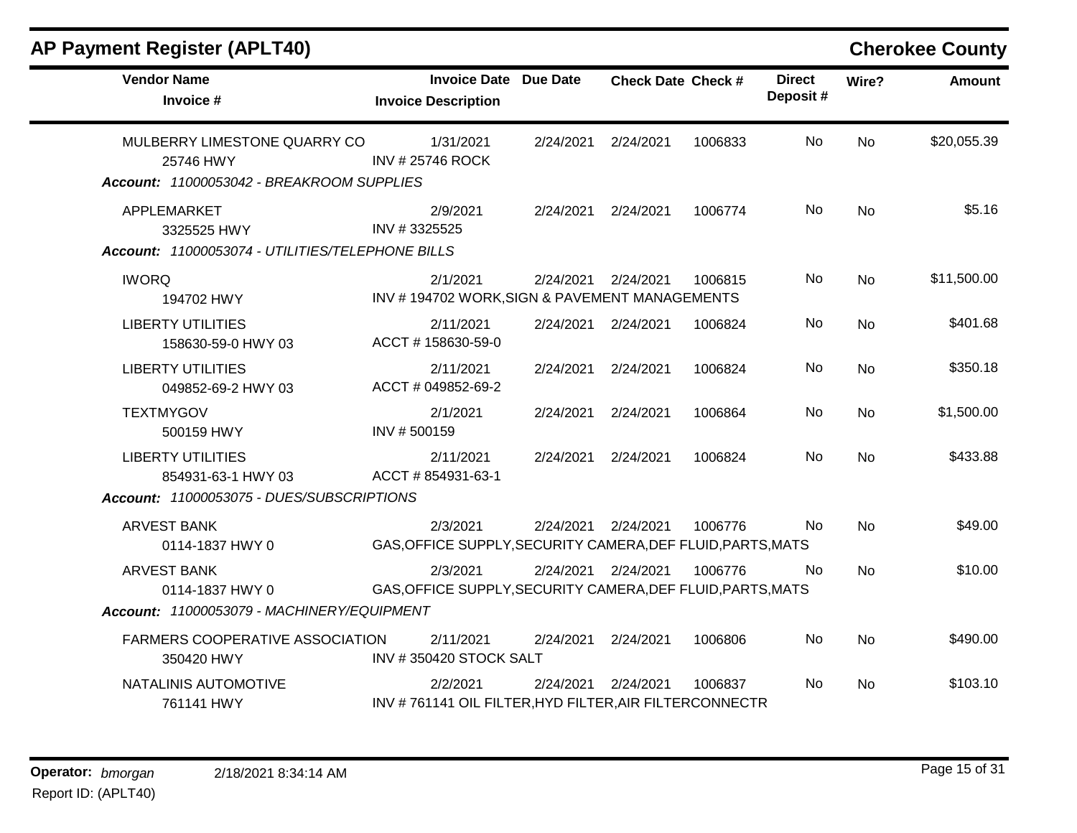| AP Payment Register (APLT40)                                                                |                                                                         |           |                           |         |                           |           | <b>Cherokee County</b> |
|---------------------------------------------------------------------------------------------|-------------------------------------------------------------------------|-----------|---------------------------|---------|---------------------------|-----------|------------------------|
| <b>Vendor Name</b><br>Invoice #                                                             | <b>Invoice Date Due Date</b><br><b>Invoice Description</b>              |           | <b>Check Date Check #</b> |         | <b>Direct</b><br>Deposit# | Wire?     | <b>Amount</b>          |
| MULBERRY LIMESTONE QUARRY CO<br>25746 HWY<br>Account: 11000053042 - BREAKROOM SUPPLIES      | 1/31/2021<br><b>INV #25746 ROCK</b>                                     | 2/24/2021 | 2/24/2021                 | 1006833 | No.                       | <b>No</b> | \$20,055.39            |
| APPLEMARKET<br>3325525 HWY<br>Account: 11000053074 - UTILITIES/TELEPHONE BILLS              | 2/9/2021<br>INV #3325525                                                | 2/24/2021 | 2/24/2021                 | 1006774 | No                        | <b>No</b> | \$5.16                 |
| <b>IWORQ</b><br>194702 HWY                                                                  | 2/1/2021<br>INV #194702 WORK, SIGN & PAVEMENT MANAGEMENTS               | 2/24/2021 | 2/24/2021                 | 1006815 | No                        | <b>No</b> | \$11,500.00            |
| <b>LIBERTY UTILITIES</b><br>158630-59-0 HWY 03                                              | 2/11/2021<br>ACCT #158630-59-0                                          |           | 2/24/2021 2/24/2021       | 1006824 | No                        | No.       | \$401.68               |
| <b>LIBERTY UTILITIES</b><br>049852-69-2 HWY 03                                              | 2/11/2021<br>ACCT # 049852-69-2                                         | 2/24/2021 | 2/24/2021                 | 1006824 | No                        | <b>No</b> | \$350.18               |
| <b>TEXTMYGOV</b><br>500159 HWY                                                              | 2/1/2021<br>INV #500159                                                 | 2/24/2021 | 2/24/2021                 | 1006864 | No                        | <b>No</b> | \$1,500.00             |
| <b>LIBERTY UTILITIES</b><br>854931-63-1 HWY 03<br>Account: 11000053075 - DUES/SUBSCRIPTIONS | 2/11/2021<br>ACCT # 854931-63-1                                         | 2/24/2021 | 2/24/2021                 | 1006824 | No                        | <b>No</b> | \$433.88               |
| ARVEST BANK<br>0114-1837 HWY 0                                                              | 2/3/2021<br>GAS, OFFICE SUPPLY, SECURITY CAMERA, DEF FLUID, PARTS, MATS | 2/24/2021 | 2/24/2021                 | 1006776 | No.                       | <b>No</b> | \$49.00                |
| <b>ARVEST BANK</b><br>0114-1837 HWY 0<br>Account: 11000053079 - MACHINERY/EQUIPMENT         | 2/3/2021<br>GAS, OFFICE SUPPLY, SECURITY CAMERA, DEF FLUID, PARTS, MATS |           | 2/24/2021 2/24/2021       | 1006776 | No                        | <b>No</b> | \$10.00                |
| FARMERS COOPERATIVE ASSOCIATION<br>350420 HWY                                               | 2/11/2021<br>INV #350420 STOCK SALT                                     | 2/24/2021 | 2/24/2021                 | 1006806 | No                        | <b>No</b> | \$490.00               |
| NATALINIS AUTOMOTIVE<br>761141 HWY                                                          | 2/2/2021<br>INV #761141 OIL FILTER, HYD FILTER, AIR FILTERCONNECTR      | 2/24/2021 | 2/24/2021                 | 1006837 | No.                       | <b>No</b> | \$103.10               |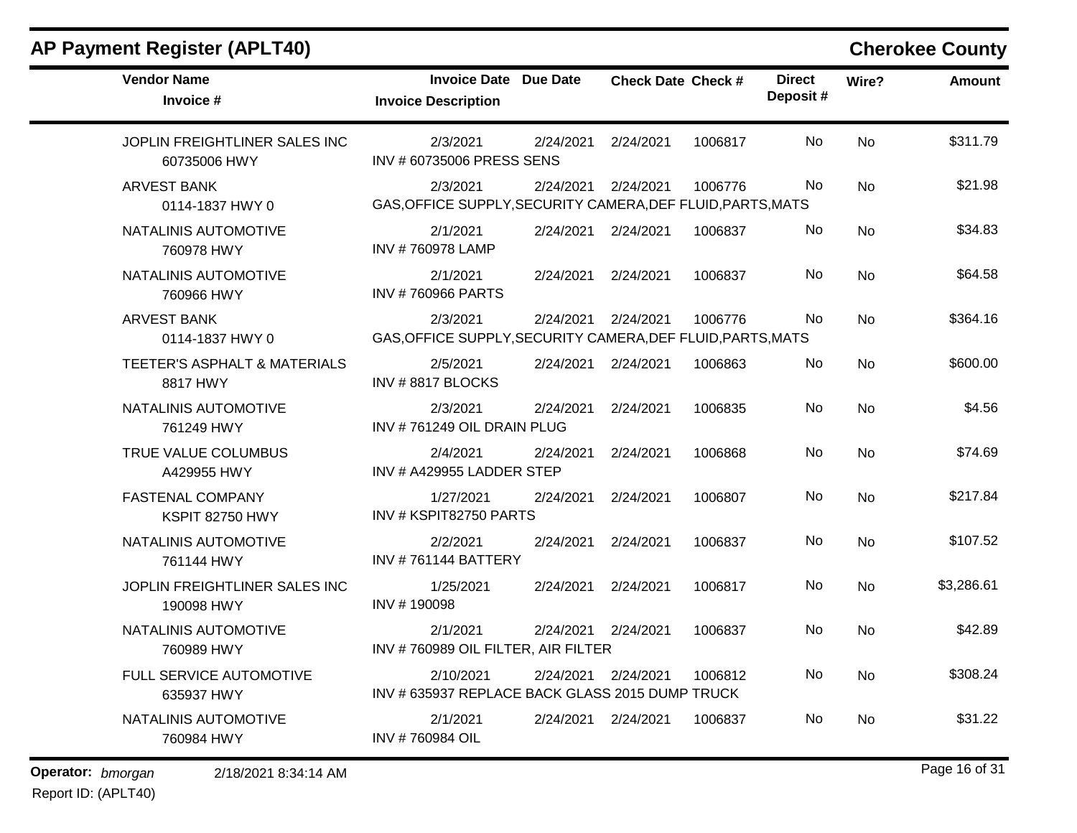| <b>Vendor Name</b><br>Invoice #               | <b>Invoice Date Due Date</b><br><b>Invoice Description</b>                           | <b>Check Date Check #</b>      | <b>Direct</b><br>Deposit# | Wire?     | <b>Amount</b> |
|-----------------------------------------------|--------------------------------------------------------------------------------------|--------------------------------|---------------------------|-----------|---------------|
| JOPLIN FREIGHTLINER SALES INC<br>60735006 HWY | 2/3/2021<br>2/24/2021<br>INV #60735006 PRESS SENS                                    | 2/24/2021<br>1006817           | No                        | <b>No</b> | \$311.79      |
| <b>ARVEST BANK</b><br>0114-1837 HWY 0         | 2/24/2021<br>2/3/2021<br>GAS, OFFICE SUPPLY, SECURITY CAMERA, DEF FLUID, PARTS, MATS | 2/24/2021<br>1006776           | <b>No</b>                 | <b>No</b> | \$21.98       |
| NATALINIS AUTOMOTIVE<br>760978 HWY            | 2/1/2021<br>2/24/2021<br>INV #760978 LAMP                                            | 2/24/2021<br>1006837           | No                        | No        | \$34.83       |
| NATALINIS AUTOMOTIVE<br>760966 HWY            | 2/1/2021<br>2/24/2021<br><b>INV #760966 PARTS</b>                                    | 2/24/2021<br>1006837           | No                        | No        | \$64.58       |
| <b>ARVEST BANK</b><br>0114-1837 HWY 0         | 2/3/2021<br>GAS, OFFICE SUPPLY, SECURITY CAMERA, DEF FLUID, PARTS, MATS              | 2/24/2021 2/24/2021<br>1006776 | No.                       | <b>No</b> | \$364.16      |
| TEETER'S ASPHALT & MATERIALS<br>8817 HWY      | 2/5/2021<br>2/24/2021<br>INV#8817BLOCKS                                              | 2/24/2021<br>1006863           | No                        | <b>No</b> | \$600.00      |
| NATALINIS AUTOMOTIVE<br>761249 HWY            | 2/3/2021<br>2/24/2021<br>INV #761249 OIL DRAIN PLUG                                  | 2/24/2021<br>1006835           | No                        | <b>No</b> | \$4.56        |
| TRUE VALUE COLUMBUS<br>A429955 HWY            | 2/4/2021<br>2/24/2021<br>INV # A429955 LADDER STEP                                   | 2/24/2021<br>1006868           | No                        | <b>No</b> | \$74.69       |
| <b>FASTENAL COMPANY</b><br>KSPIT 82750 HWY    | 1/27/2021<br>2/24/2021<br>INV # KSPIT82750 PARTS                                     | 2/24/2021<br>1006807           | <b>No</b>                 | <b>No</b> | \$217.84      |
| NATALINIS AUTOMOTIVE<br>761144 HWY            | 2/2/2021<br>2/24/2021<br><b>INV #761144 BATTERY</b>                                  | 2/24/2021<br>1006837           | No                        | <b>No</b> | \$107.52      |
| JOPLIN FREIGHTLINER SALES INC<br>190098 HWY   | 1/25/2021<br>2/24/2021<br>INV #190098                                                | 2/24/2021<br>1006817           | No                        | <b>No</b> | \$3,286.61    |
| NATALINIS AUTOMOTIVE<br>760989 HWY            | 2/1/2021<br>INV #760989 OIL FILTER, AIR FILTER                                       | 2/24/2021 2/24/2021<br>1006837 | No                        | <b>No</b> | \$42.89       |
| FULL SERVICE AUTOMOTIVE<br>635937 HWY         | 2/10/2021<br>INV # 635937 REPLACE BACK GLASS 2015 DUMP TRUCK                         | 2/24/2021 2/24/2021<br>1006812 | No                        | <b>No</b> | \$308.24      |
| NATALINIS AUTOMOTIVE<br>760984 HWY            | 2/1/2021<br>2/24/2021<br>INV #760984 OIL                                             | 2/24/2021<br>1006837           | No                        | <b>No</b> | \$31.22       |

**Operator:** bmorgan 2/18/2021 8:34:14 AM **bigger 16 of 31 bigger 16 of 31**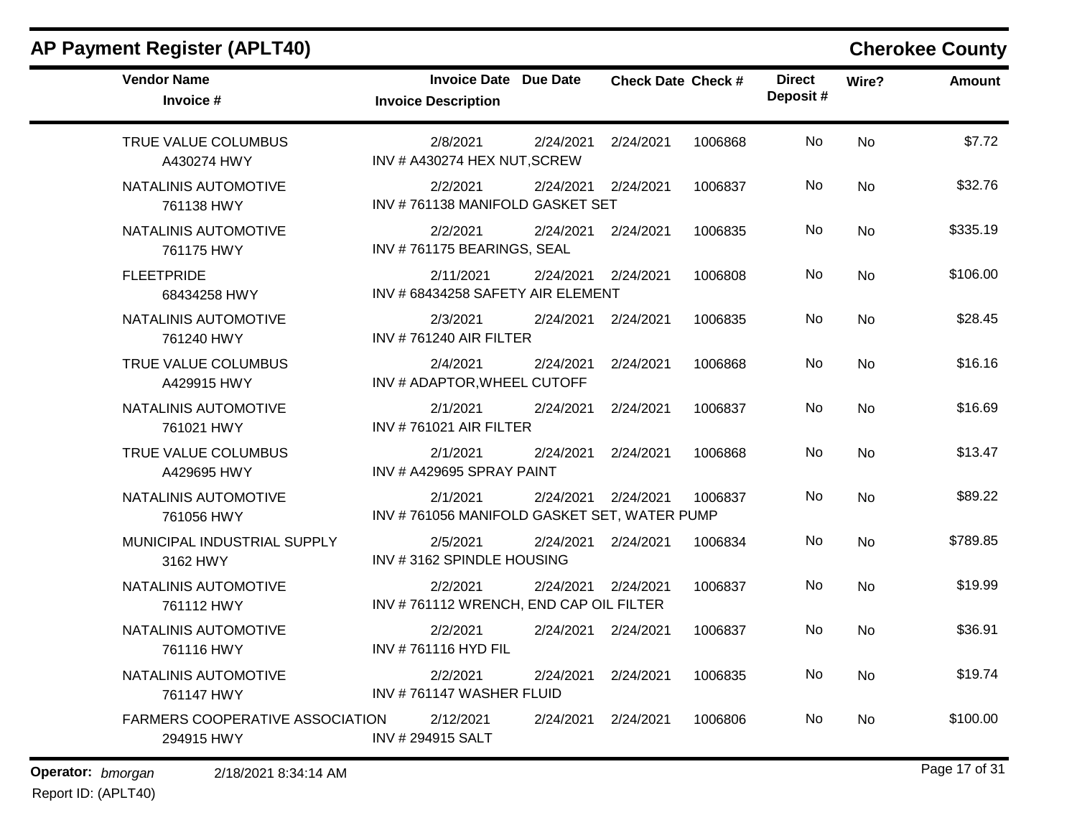| <b>Vendor Name</b><br>Invoice #                      | <b>Invoice Date Due Date</b><br><b>Invoice Description</b> |                     | <b>Check Date Check #</b> |         | <b>Direct</b><br>Deposit# | Wire?     | <b>Amount</b> |
|------------------------------------------------------|------------------------------------------------------------|---------------------|---------------------------|---------|---------------------------|-----------|---------------|
| TRUE VALUE COLUMBUS<br>A430274 HWY                   | 2/8/2021<br>INV # A430274 HEX NUT, SCREW                   | 2/24/2021           | 2/24/2021                 | 1006868 | No                        | No        | \$7.72        |
| NATALINIS AUTOMOTIVE<br>761138 HWY                   | 2/2/2021<br>INV #761138 MANIFOLD GASKET SET                | 2/24/2021           | 2/24/2021                 | 1006837 | No                        | <b>No</b> | \$32.76       |
| NATALINIS AUTOMOTIVE<br>761175 HWY                   | 2/2/2021<br>INV #761175 BEARINGS, SEAL                     | 2/24/2021           | 2/24/2021                 | 1006835 | No                        | No        | \$335.19      |
| <b>FLEETPRIDE</b><br>68434258 HWY                    | 2/11/2021<br>INV # 68434258 SAFETY AIR ELEMENT             | 2/24/2021 2/24/2021 |                           | 1006808 | No                        | <b>No</b> | \$106.00      |
| NATALINIS AUTOMOTIVE<br>761240 HWY                   | 2/3/2021<br><b>INV #761240 AIR FILTER</b>                  | 2/24/2021           | 2/24/2021                 | 1006835 | No                        | <b>No</b> | \$28.45       |
| TRUE VALUE COLUMBUS<br>A429915 HWY                   | 2/4/2021<br>INV # ADAPTOR, WHEEL CUTOFF                    | 2/24/2021           | 2/24/2021                 | 1006868 | No                        | <b>No</b> | \$16.16       |
| NATALINIS AUTOMOTIVE<br>761021 HWY                   | 2/1/2021<br><b>INV #761021 AIR FILTER</b>                  | 2/24/2021           | 2/24/2021                 | 1006837 | No                        | <b>No</b> | \$16.69       |
| TRUE VALUE COLUMBUS<br>A429695 HWY                   | 2/1/2021<br>INV # A429695 SPRAY PAINT                      | 2/24/2021           | 2/24/2021                 | 1006868 | No                        | <b>No</b> | \$13.47       |
| NATALINIS AUTOMOTIVE<br>761056 HWY                   | 2/1/2021<br>INV #761056 MANIFOLD GASKET SET, WATER PUMP    | 2/24/2021           | 2/24/2021                 | 1006837 | <b>No</b>                 | <b>No</b> | \$89.22       |
| MUNICIPAL INDUSTRIAL SUPPLY<br>3162 HWY              | 2/5/2021<br>INV #3162 SPINDLE HOUSING                      | 2/24/2021           | 2/24/2021                 | 1006834 | No                        | <b>No</b> | \$789.85      |
| NATALINIS AUTOMOTIVE<br>761112 HWY                   | 2/2/2021<br>INV #761112 WRENCH, END CAP OIL FILTER         | 2/24/2021           | 2/24/2021                 | 1006837 | No                        | <b>No</b> | \$19.99       |
| NATALINIS AUTOMOTIVE<br>761116 HWY                   | 2/2/2021<br>INV #761116 HYD FIL                            | 2/24/2021           | 2/24/2021                 | 1006837 | No                        | <b>No</b> | \$36.91       |
| NATALINIS AUTOMOTIVE<br>761147 HWY                   | 2/2/2021<br>INV #761147 WASHER FLUID                       | 2/24/2021           | 2/24/2021                 | 1006835 | No                        | <b>No</b> | \$19.74       |
| <b>FARMERS COOPERATIVE ASSOCIATION</b><br>294915 HWY | 2/12/2021<br>INV # 294915 SALT                             | 2/24/2021           | 2/24/2021                 | 1006806 | No                        | <b>No</b> | \$100.00      |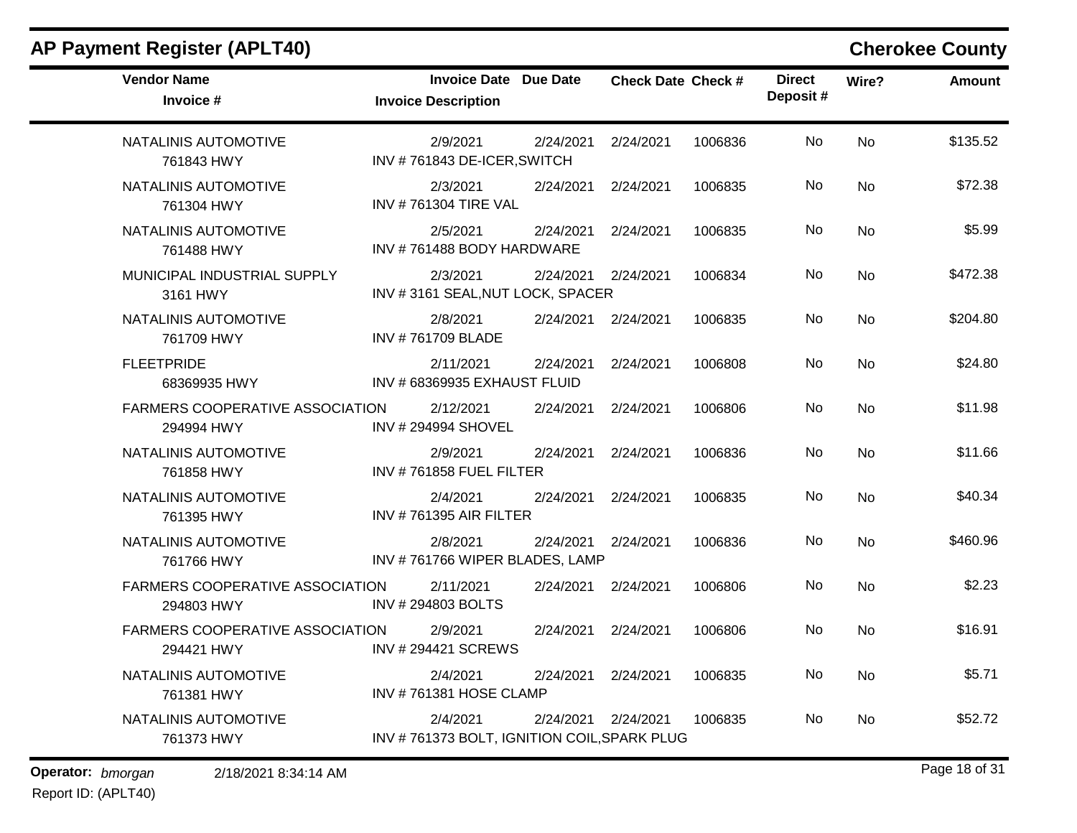|                                  |                                                                                                                            |                                                                                                                                                                                                                                                            |                                                                                                                                            |                                                                          |           | <b>Cherokee County</b> |
|----------------------------------|----------------------------------------------------------------------------------------------------------------------------|------------------------------------------------------------------------------------------------------------------------------------------------------------------------------------------------------------------------------------------------------------|--------------------------------------------------------------------------------------------------------------------------------------------|--------------------------------------------------------------------------|-----------|------------------------|
| <b>Invoice Description</b>       | Due Date                                                                                                                   |                                                                                                                                                                                                                                                            |                                                                                                                                            | <b>Direct</b><br>Deposit#                                                | Wire?     | <b>Amount</b>          |
| 2/9/2021                         | 2/24/2021                                                                                                                  | 2/24/2021                                                                                                                                                                                                                                                  | 1006836                                                                                                                                    | <b>No</b>                                                                | <b>No</b> | \$135.52               |
| 2/3/2021                         | 2/24/2021                                                                                                                  | 2/24/2021                                                                                                                                                                                                                                                  | 1006835                                                                                                                                    | No                                                                       | No        | \$72.38                |
| 2/5/2021                         | 2/24/2021                                                                                                                  | 2/24/2021                                                                                                                                                                                                                                                  | 1006835                                                                                                                                    | No                                                                       | No        | \$5.99                 |
| 2/3/2021                         | 2/24/2021                                                                                                                  | 2/24/2021                                                                                                                                                                                                                                                  | 1006834                                                                                                                                    | No                                                                       | No        | \$472.38               |
| 2/8/2021<br>INV #761709 BLADE    | 2/24/2021                                                                                                                  | 2/24/2021                                                                                                                                                                                                                                                  | 1006835                                                                                                                                    | No                                                                       | <b>No</b> | \$204.80               |
| 2/11/2021                        | 2/24/2021                                                                                                                  | 2/24/2021                                                                                                                                                                                                                                                  | 1006808                                                                                                                                    | No                                                                       | No        | \$24.80                |
| 2/12/2021<br>INV # 294994 SHOVEL | 2/24/2021                                                                                                                  | 2/24/2021                                                                                                                                                                                                                                                  | 1006806                                                                                                                                    | No                                                                       | No        | \$11.98                |
| 2/9/2021                         | 2/24/2021                                                                                                                  | 2/24/2021                                                                                                                                                                                                                                                  | 1006836                                                                                                                                    | <b>No</b>                                                                | No        | \$11.66                |
| 2/4/2021                         | 2/24/2021                                                                                                                  | 2/24/2021                                                                                                                                                                                                                                                  | 1006835                                                                                                                                    | No                                                                       | No        | \$40.34                |
| 2/8/2021                         |                                                                                                                            | 2/24/2021                                                                                                                                                                                                                                                  | 1006836                                                                                                                                    | No                                                                       | <b>No</b> | \$460.96               |
| 2/11/2021<br>INV #294803 BOLTS   | 2/24/2021                                                                                                                  | 2/24/2021                                                                                                                                                                                                                                                  | 1006806                                                                                                                                    | No                                                                       | No        | \$2.23                 |
| 2/9/2021                         |                                                                                                                            | 2/24/2021                                                                                                                                                                                                                                                  | 1006806                                                                                                                                    | No                                                                       | No        | \$16.91                |
| 2/4/2021                         |                                                                                                                            |                                                                                                                                                                                                                                                            | 1006835                                                                                                                                    | No                                                                       | No        | \$5.71                 |
| 2/4/2021                         |                                                                                                                            |                                                                                                                                                                                                                                                            | 1006835                                                                                                                                    | No                                                                       | No        | \$52.72                |
|                                  | <b>FARMERS COOPERATIVE ASSOCIATION</b><br><b>FARMERS COOPERATIVE ASSOCIATION</b><br><b>FARMERS COOPERATIVE ASSOCIATION</b> | <b>Invoice Date</b><br>INV #761843 DE-ICER, SWITCH<br><b>INV #761304 TIRE VAL</b><br>INV #761488 BODY HARDWARE<br>INV #68369935 EXHAUST FLUID<br>INV #761858 FUEL FILTER<br><b>INV #761395 AIR FILTER</b><br>INV # 294421 SCREWS<br>INV #761381 HOSE CLAMP | INV #3161 SEAL, NUT LOCK, SPACER<br>2/24/2021<br>INV #761766 WIPER BLADES, LAMP<br>2/24/2021<br>2/24/2021 2/24/2021<br>2/24/2021 2/24/2021 | <b>Check Date Check #</b><br>INV #761373 BOLT, IGNITION COIL, SPARK PLUG |           |                        |

**Operator:** bmorgan 2/18/2021 8:34:14 AM **bigged by a control of 31 bigged by Bage 18 of 31**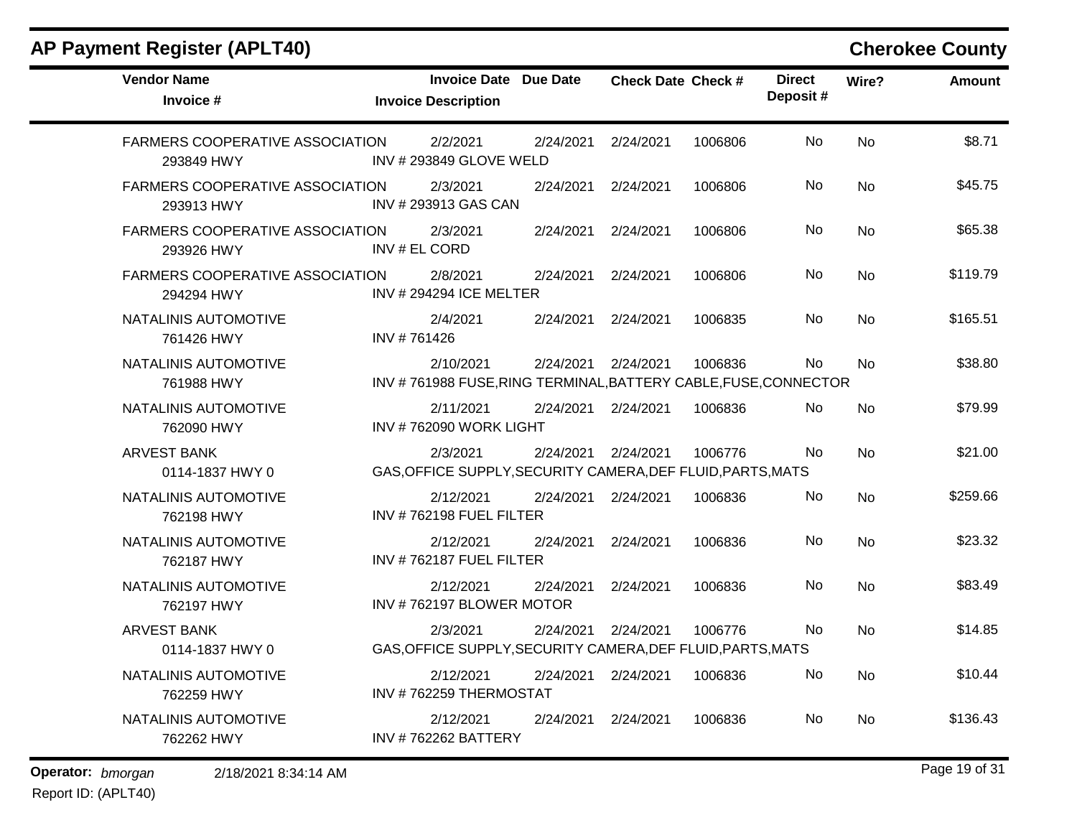| <b>Vendor Name</b><br>Invoice #                      | <b>Invoice Date Due Date</b><br><b>Invoice Description</b>                   |                     | <b>Check Date Check #</b> |         | <b>Direct</b><br>Deposit# | Wire?     | <b>Amount</b> |
|------------------------------------------------------|------------------------------------------------------------------------------|---------------------|---------------------------|---------|---------------------------|-----------|---------------|
| <b>FARMERS COOPERATIVE ASSOCIATION</b><br>293849 HWY | 2/2/2021<br>INV # 293849 GLOVE WELD                                          | 2/24/2021           | 2/24/2021                 | 1006806 | <b>No</b>                 | <b>No</b> | \$8.71        |
| FARMERS COOPERATIVE ASSOCIATION<br>293913 HWY        | 2/3/2021<br>INV # 293913 GAS CAN                                             | 2/24/2021           | 2/24/2021                 | 1006806 | No                        | <b>No</b> | \$45.75       |
| <b>FARMERS COOPERATIVE ASSOCIATION</b><br>293926 HWY | 2/3/2021<br>INV # EL CORD                                                    | 2/24/2021           | 2/24/2021                 | 1006806 | No                        | <b>No</b> | \$65.38       |
| <b>FARMERS COOPERATIVE ASSOCIATION</b><br>294294 HWY | 2/8/2021<br><b>INV # 294294 ICE MELTER</b>                                   | 2/24/2021           | 2/24/2021                 | 1006806 | <b>No</b>                 | <b>No</b> | \$119.79      |
| NATALINIS AUTOMOTIVE<br>761426 HWY                   | 2/4/2021<br>INV #761426                                                      | 2/24/2021           | 2/24/2021                 | 1006835 | No                        | No        | \$165.51      |
| NATALINIS AUTOMOTIVE<br>761988 HWY                   | 2/10/2021<br>INV #761988 FUSE, RING TERMINAL, BATTERY CABLE, FUSE, CONNECTOR | 2/24/2021           | 2/24/2021                 | 1006836 | <b>No</b>                 | No        | \$38.80       |
| NATALINIS AUTOMOTIVE<br>762090 HWY                   | 2/11/2021<br>INV #762090 WORK LIGHT                                          | 2/24/2021 2/24/2021 |                           | 1006836 | <b>No</b>                 | <b>No</b> | \$79.99       |
| <b>ARVEST BANK</b><br>0114-1837 HWY 0                | 2/3/2021<br>GAS, OFFICE SUPPLY, SECURITY CAMERA, DEF FLUID, PARTS, MATS      | 2/24/2021           | 2/24/2021                 | 1006776 | No                        | <b>No</b> | \$21.00       |
| NATALINIS AUTOMOTIVE<br>762198 HWY                   | 2/12/2021<br>INV #762198 FUEL FILTER                                         | 2/24/2021           | 2/24/2021                 | 1006836 | No                        | <b>No</b> | \$259.66      |
| NATALINIS AUTOMOTIVE<br>762187 HWY                   | 2/12/2021<br>INV #762187 FUEL FILTER                                         | 2/24/2021           | 2/24/2021                 | 1006836 | <b>No</b>                 | No        | \$23.32       |
| NATALINIS AUTOMOTIVE<br>762197 HWY                   | 2/12/2021<br>INV #762197 BLOWER MOTOR                                        | 2/24/2021           | 2/24/2021                 | 1006836 | No                        | <b>No</b> | \$83.49       |
| <b>ARVEST BANK</b><br>0114-1837 HWY 0                | 2/3/2021<br>GAS, OFFICE SUPPLY, SECURITY CAMERA, DEF FLUID, PARTS, MATS      | 2/24/2021           | 2/24/2021                 | 1006776 | No                        | <b>No</b> | \$14.85       |
| NATALINIS AUTOMOTIVE<br>762259 HWY                   | 2/12/2021<br>INV #762259 THERMOSTAT                                          | 2/24/2021           | 2/24/2021                 | 1006836 | No                        | <b>No</b> | \$10.44       |
| NATALINIS AUTOMOTIVE<br>762262 HWY                   | 2/12/2021<br><b>INV #762262 BATTERY</b>                                      | 2/24/2021           | 2/24/2021                 | 1006836 | No                        | <b>No</b> | \$136.43      |

**Operator:** bmorgan 2/18/2021 8:34:14 AM **bigger 19 of 31 bigger 19 of 31**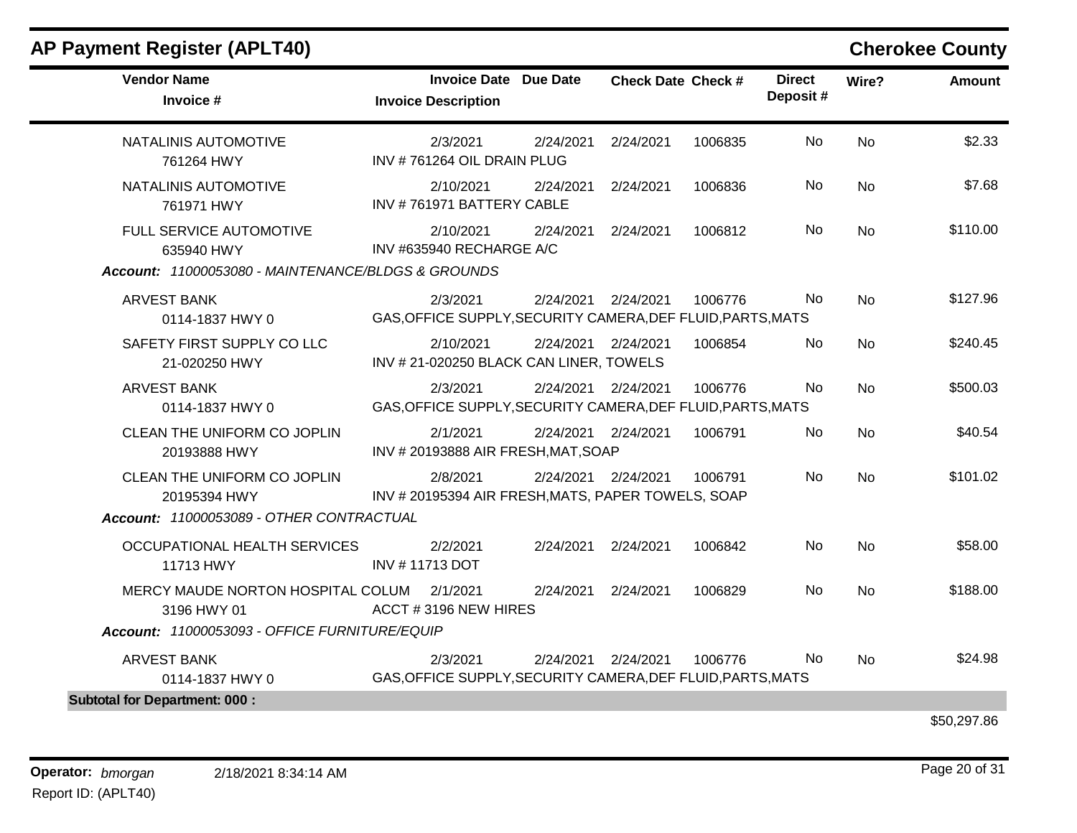| <b>Vendor Name</b><br>Invoice #                                                             | <b>Invoice Date Due Date</b><br><b>Invoice Description</b>              |           | <b>Check Date Check #</b> |         | <b>Direct</b><br>Deposit# | Wire?     | <b>Amount</b> |
|---------------------------------------------------------------------------------------------|-------------------------------------------------------------------------|-----------|---------------------------|---------|---------------------------|-----------|---------------|
| NATALINIS AUTOMOTIVE<br>761264 HWY                                                          | 2/3/2021<br>INV #761264 OIL DRAIN PLUG                                  | 2/24/2021 | 2/24/2021                 | 1006835 | No                        | <b>No</b> | \$2.33        |
| NATALINIS AUTOMOTIVE<br>761971 HWY                                                          | 2/10/2021<br>INV #761971 BATTERY CABLE                                  | 2/24/2021 | 2/24/2021                 | 1006836 | No                        | <b>No</b> | \$7.68        |
| FULL SERVICE AUTOMOTIVE<br>635940 HWY<br>Account: 11000053080 - MAINTENANCE/BLDGS & GROUNDS | 2/10/2021<br>INV #635940 RECHARGE A/C                                   | 2/24/2021 | 2/24/2021                 | 1006812 | <b>No</b>                 | <b>No</b> | \$110.00      |
| <b>ARVEST BANK</b><br>0114-1837 HWY 0                                                       | 2/3/2021<br>GAS, OFFICE SUPPLY, SECURITY CAMERA, DEF FLUID, PARTS, MATS | 2/24/2021 | 2/24/2021                 | 1006776 | No.                       | <b>No</b> | \$127.96      |
| SAFETY FIRST SUPPLY CO LLC<br>21-020250 HWY                                                 | 2/10/2021<br>INV #21-020250 BLACK CAN LINER, TOWELS                     |           | 2/24/2021 2/24/2021       | 1006854 | No.                       | <b>No</b> | \$240.45      |
| <b>ARVEST BANK</b><br>0114-1837 HWY 0                                                       | 2/3/2021<br>GAS, OFFICE SUPPLY, SECURITY CAMERA, DEF FLUID, PARTS, MATS |           | 2/24/2021 2/24/2021       | 1006776 | No.                       | <b>No</b> | \$500.03      |
| CLEAN THE UNIFORM CO JOPLIN<br>20193888 HWY                                                 | 2/1/2021<br>INV #20193888 AIR FRESH, MAT, SOAP                          |           | 2/24/2021 2/24/2021       | 1006791 | <b>No</b>                 | <b>No</b> | \$40.54       |
| CLEAN THE UNIFORM CO JOPLIN<br>20195394 HWY<br>Account: 11000053089 - OTHER CONTRACTUAL     | 2/8/2021<br>INV # 20195394 AIR FRESH, MATS, PAPER TOWELS, SOAP          |           | 2/24/2021 2/24/2021       | 1006791 | <b>No</b>                 | <b>No</b> | \$101.02      |
| OCCUPATIONAL HEALTH SERVICES<br>11713 HWY                                                   | 2/2/2021<br>INV #11713 DOT                                              | 2/24/2021 | 2/24/2021                 | 1006842 | <b>No</b>                 | <b>No</b> | \$58.00       |
| MERCY MAUDE NORTON HOSPITAL COLUM<br>3196 HWY 01                                            | 2/1/2021<br>ACCT #3196 NEW HIRES                                        | 2/24/2021 | 2/24/2021                 | 1006829 | No                        | <b>No</b> | \$188.00      |
| Account: 11000053093 - OFFICE FURNITURE/EQUIP                                               |                                                                         |           |                           |         |                           |           |               |
| <b>ARVEST BANK</b><br>0114-1837 HWY 0                                                       | 2/3/2021<br>GAS, OFFICE SUPPLY, SECURITY CAMERA, DEF FLUID, PARTS, MATS | 2/24/2021 | 2/24/2021                 | 1006776 | No.                       | <b>No</b> | \$24.98       |
| <b>Subtotal for Department: 000:</b>                                                        |                                                                         |           |                           |         |                           |           |               |

\$50,297.86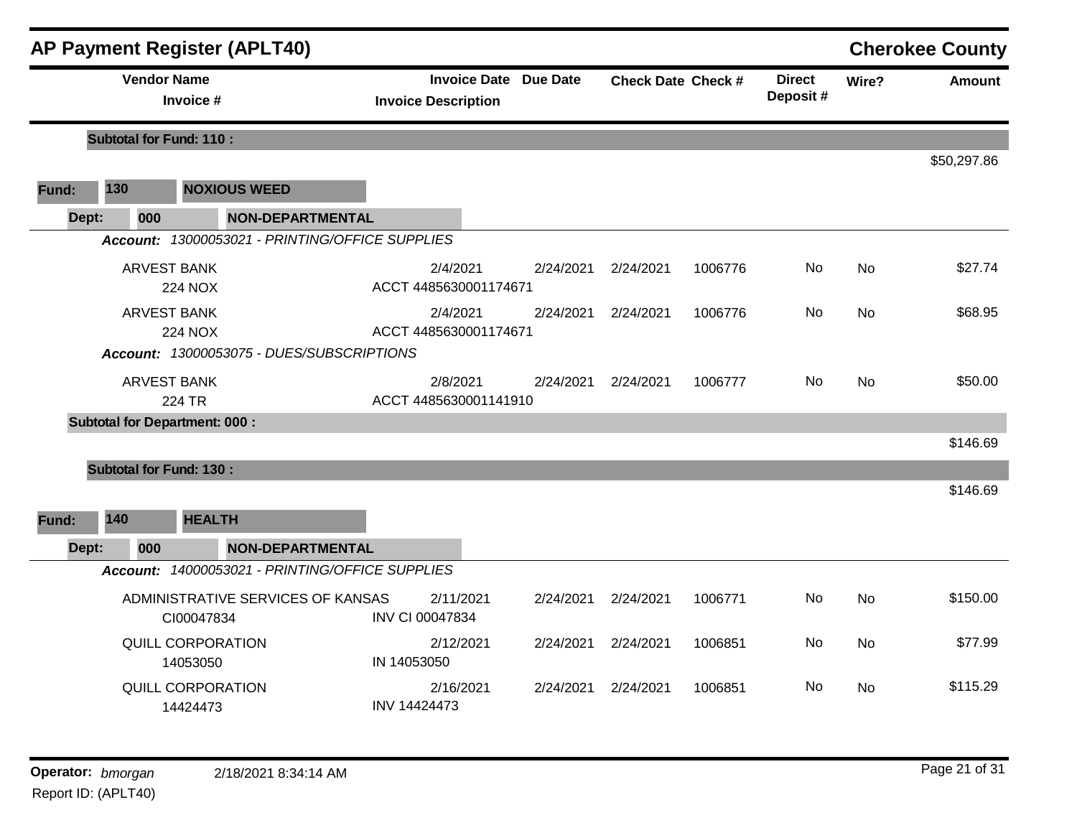|       |                                      | <b>AP Payment Register (APLT40)</b>             |                                                            |           |                           |         |                           |           | <b>Cherokee County</b> |
|-------|--------------------------------------|-------------------------------------------------|------------------------------------------------------------|-----------|---------------------------|---------|---------------------------|-----------|------------------------|
|       | <b>Vendor Name</b>                   | Invoice #                                       | <b>Invoice Date Due Date</b><br><b>Invoice Description</b> |           | <b>Check Date Check #</b> |         | <b>Direct</b><br>Deposit# | Wire?     | <b>Amount</b>          |
|       | <b>Subtotal for Fund: 110:</b>       |                                                 |                                                            |           |                           |         |                           |           |                        |
|       |                                      |                                                 |                                                            |           |                           |         |                           |           | \$50,297.86            |
| Fund: | 130                                  | <b>NOXIOUS WEED</b>                             |                                                            |           |                           |         |                           |           |                        |
| Dept: | 000                                  | <b>NON-DEPARTMENTAL</b>                         |                                                            |           |                           |         |                           |           |                        |
|       |                                      | Account: 13000053021 - PRINTING/OFFICE SUPPLIES |                                                            |           |                           |         |                           |           |                        |
|       | <b>ARVEST BANK</b>                   | <b>224 NOX</b>                                  | 2/4/2021<br>ACCT 4485630001174671                          | 2/24/2021 | 2/24/2021                 | 1006776 | <b>No</b>                 | <b>No</b> | \$27.74                |
|       | <b>ARVEST BANK</b>                   | <b>224 NOX</b>                                  | 2/4/2021<br>ACCT 4485630001174671                          | 2/24/2021 | 2/24/2021                 | 1006776 | No.                       | <b>No</b> | \$68.95                |
|       |                                      | Account: 13000053075 - DUES/SUBSCRIPTIONS       |                                                            |           |                           |         |                           |           |                        |
|       | <b>ARVEST BANK</b>                   | 224 TR                                          | 2/8/2021<br>ACCT 4485630001141910                          | 2/24/2021 | 2/24/2021                 | 1006777 | No.                       | <b>No</b> | \$50.00                |
|       | <b>Subtotal for Department: 000:</b> |                                                 |                                                            |           |                           |         |                           |           | \$146.69               |
|       | <b>Subtotal for Fund: 130:</b>       |                                                 |                                                            |           |                           |         |                           |           |                        |
|       |                                      |                                                 |                                                            |           |                           |         |                           |           | \$146.69               |
| Fund: | 140                                  | <b>HEALTH</b>                                   |                                                            |           |                           |         |                           |           |                        |
| Dept: | 000                                  | <b>NON-DEPARTMENTAL</b>                         |                                                            |           |                           |         |                           |           |                        |
|       |                                      | Account: 14000053021 - PRINTING/OFFICE SUPPLIES |                                                            |           |                           |         |                           |           |                        |
|       |                                      | ADMINISTRATIVE SERVICES OF KANSAS<br>CI00047834 | 2/11/2021<br>INV CI 00047834                               | 2/24/2021 | 2/24/2021                 | 1006771 | No.                       | <b>No</b> | \$150.00               |
|       |                                      | QUILL CORPORATION<br>14053050                   | 2/12/2021<br>IN 14053050                                   | 2/24/2021 | 2/24/2021                 | 1006851 | No.                       | No        | \$77.99                |
|       |                                      | QUILL CORPORATION<br>14424473                   | 2/16/2021<br>INV 14424473                                  | 2/24/2021 | 2/24/2021                 | 1006851 | No.                       | <b>No</b> | \$115.29               |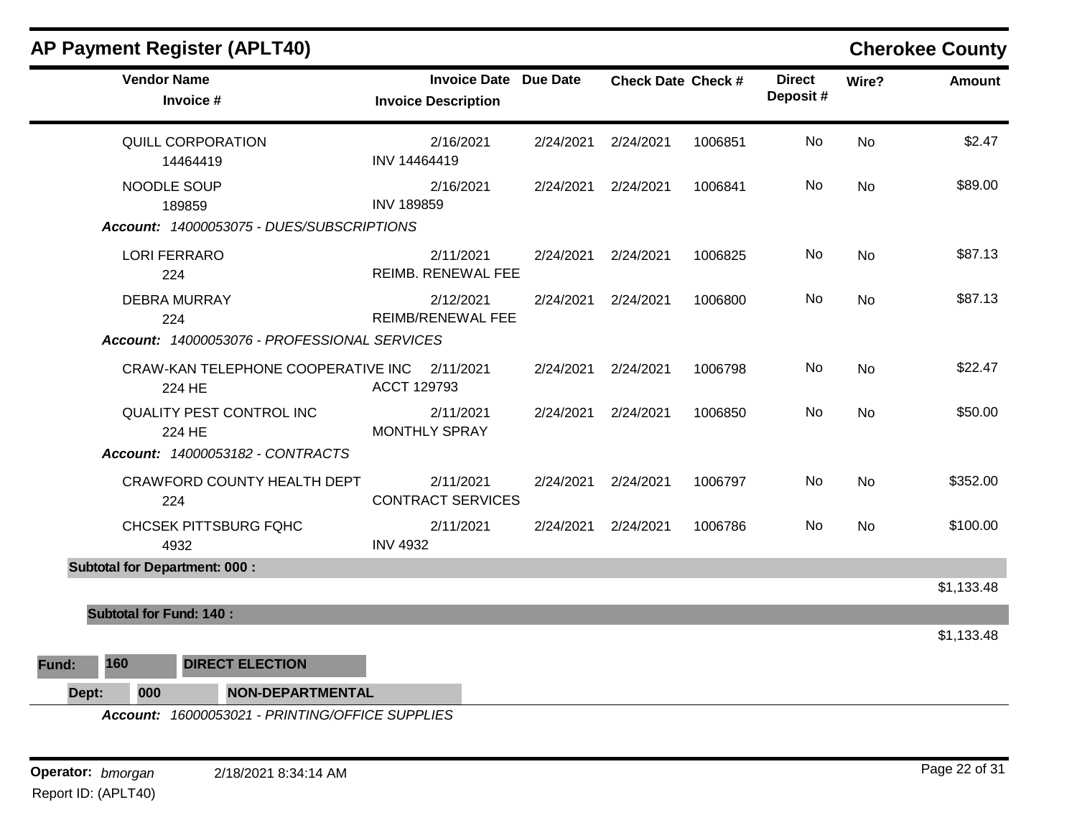|                                                                    |                                      |                                                                     |                                                            |                     |                           |         |                           |           | onoronoo oodniy |
|--------------------------------------------------------------------|--------------------------------------|---------------------------------------------------------------------|------------------------------------------------------------|---------------------|---------------------------|---------|---------------------------|-----------|-----------------|
|                                                                    | <b>Vendor Name</b><br>Invoice #      |                                                                     | <b>Invoice Date Due Date</b><br><b>Invoice Description</b> |                     | <b>Check Date Check #</b> |         | <b>Direct</b><br>Deposit# | Wire?     | Amount          |
|                                                                    | QUILL CORPORATION<br>14464419        |                                                                     | 2/16/2021<br>INV 14464419                                  | 2/24/2021           | 2/24/2021                 | 1006851 | No.                       | No        | \$2.47          |
| NOODLE SOUP<br>189859<br>Account: 14000053075 - DUES/SUBSCRIPTIONS |                                      | 2/16/2021<br><b>INV 189859</b>                                      |                                                            | 2/24/2021 2/24/2021 | 1006841                   | No      | No                        | \$89.00   |                 |
|                                                                    | <b>LORI FERRARO</b><br>224           |                                                                     | 2/11/2021<br><b>REIMB. RENEWAL FEE</b>                     |                     | 2/24/2021 2/24/2021       | 1006825 | No                        | <b>No</b> | \$87.13         |
|                                                                    | <b>DEBRA MURRAY</b><br>224           | Account: 14000053076 - PROFESSIONAL SERVICES                        | 2/12/2021<br><b>REIMB/RENEWAL FEE</b>                      |                     | 2/24/2021 2/24/2021       | 1006800 | No                        | No        | \$87.13         |
|                                                                    | 224 HE                               | CRAW-KAN TELEPHONE COOPERATIVE INC 2/11/2021                        | ACCT 129793                                                | 2/24/2021           | 2/24/2021                 | 1006798 | No.                       | <b>No</b> | \$22.47         |
|                                                                    | 224 HE                               | <b>QUALITY PEST CONTROL INC</b><br>Account: 14000053182 - CONTRACTS | 2/11/2021<br><b>MONTHLY SPRAY</b>                          |                     | 2/24/2021 2/24/2021       | 1006850 | No                        | <b>No</b> | \$50.00         |
|                                                                    | 224                                  | CRAWFORD COUNTY HEALTH DEPT                                         | 2/11/2021<br><b>CONTRACT SERVICES</b>                      |                     | 2/24/2021 2/24/2021       | 1006797 | No.                       | No        | \$352.00        |
|                                                                    | 4932                                 | CHCSEK PITTSBURG FQHC                                               | 2/11/2021<br><b>INV 4932</b>                               | 2/24/2021           | 2/24/2021                 | 1006786 | No                        | No        | \$100.00        |
|                                                                    | <b>Subtotal for Department: 000:</b> |                                                                     |                                                            |                     |                           |         |                           |           | \$1,133.48      |
|                                                                    | <b>Subtotal for Fund: 140:</b>       |                                                                     |                                                            |                     |                           |         |                           |           |                 |
|                                                                    |                                      |                                                                     |                                                            |                     |                           |         |                           |           | \$1,133.48      |
| 160<br>Fund:                                                       |                                      | <b>DIRECT ELECTION</b>                                              |                                                            |                     |                           |         |                           |           |                 |
| Dept:                                                              | 000                                  | <b>NON-DEPARTMENTAL</b>                                             |                                                            |                     |                           |         |                           |           |                 |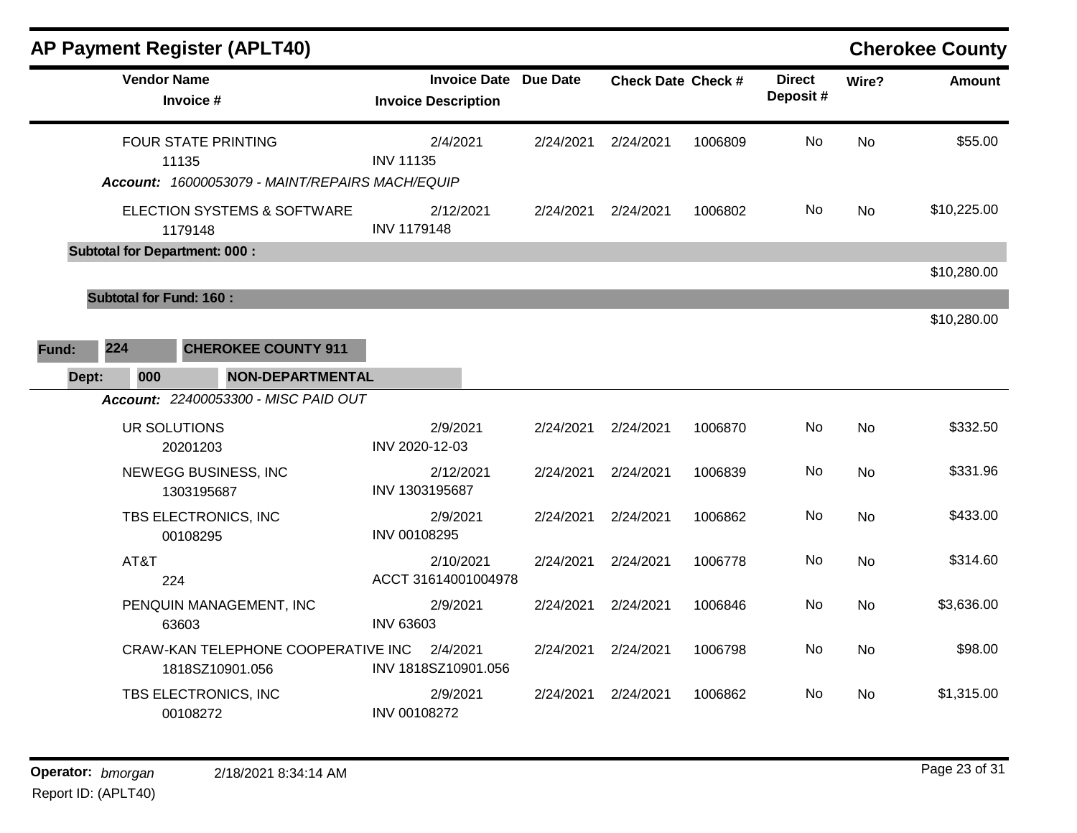|       |                                | <b>AP Payment Register (APLT40)</b>                                                    |                                 |           |                              |                           |         |                           |           | <b>Cherokee County</b> |
|-------|--------------------------------|----------------------------------------------------------------------------------------|---------------------------------|-----------|------------------------------|---------------------------|---------|---------------------------|-----------|------------------------|
|       | <b>Vendor Name</b>             | Invoice #                                                                              | <b>Invoice Description</b>      |           | <b>Invoice Date Due Date</b> | <b>Check Date Check #</b> |         | <b>Direct</b><br>Deposit# | Wire?     | <b>Amount</b>          |
|       |                                | <b>FOUR STATE PRINTING</b><br>11135<br>Account: 16000053079 - MAINT/REPAIRS MACH/EQUIP | <b>INV 11135</b>                | 2/4/2021  | 2/24/2021                    | 2/24/2021                 | 1006809 | No                        | <b>No</b> | \$55.00                |
|       |                                | ELECTION SYSTEMS & SOFTWARE<br>1179148                                                 | <b>INV 1179148</b>              | 2/12/2021 | 2/24/2021                    | 2/24/2021                 | 1006802 | No.                       | <b>No</b> | \$10,225.00            |
|       |                                | <b>Subtotal for Department: 000:</b>                                                   |                                 |           |                              |                           |         |                           |           |                        |
|       |                                |                                                                                        |                                 |           |                              |                           |         |                           |           | \$10,280.00            |
|       | <b>Subtotal for Fund: 160:</b> |                                                                                        |                                 |           |                              |                           |         |                           |           |                        |
|       |                                |                                                                                        |                                 |           |                              |                           |         |                           |           | \$10,280.00            |
| Fund: | 224                            | <b>CHEROKEE COUNTY 911</b>                                                             |                                 |           |                              |                           |         |                           |           |                        |
| Dept: | 000                            | <b>NON-DEPARTMENTAL</b>                                                                |                                 |           |                              |                           |         |                           |           |                        |
|       |                                | Account: 22400053300 - MISC PAID OUT                                                   |                                 |           |                              |                           |         |                           |           |                        |
|       |                                | UR SOLUTIONS<br>20201203                                                               | INV 2020-12-03                  | 2/9/2021  | 2/24/2021                    | 2/24/2021                 | 1006870 | No                        | No        | \$332.50               |
|       |                                | NEWEGG BUSINESS, INC<br>1303195687                                                     | INV 1303195687                  | 2/12/2021 | 2/24/2021                    | 2/24/2021                 | 1006839 | No                        | <b>No</b> | \$331.96               |
|       |                                | TBS ELECTRONICS, INC<br>00108295                                                       | INV 00108295                    | 2/9/2021  | 2/24/2021                    | 2/24/2021                 | 1006862 | No.                       | <b>No</b> | \$433.00               |
|       | AT&T                           | 224                                                                                    | ACCT 31614001004978             | 2/10/2021 | 2/24/2021                    | 2/24/2021                 | 1006778 | No                        | <b>No</b> | \$314.60               |
|       |                                | PENQUIN MANAGEMENT, INC<br>63603                                                       | <b>INV 63603</b>                | 2/9/2021  | 2/24/2021                    | 2/24/2021                 | 1006846 | No.                       | No        | \$3,636.00             |
|       |                                | CRAW-KAN TELEPHONE COOPERATIVE INC<br>1818SZ10901.056                                  | 2/4/2021<br>INV 1818SZ10901.056 |           | 2/24/2021                    | 2/24/2021                 | 1006798 | No.                       | No        | \$98.00                |
|       |                                | TBS ELECTRONICS, INC<br>00108272                                                       | INV 00108272                    | 2/9/2021  | 2/24/2021                    | 2/24/2021                 | 1006862 | No.                       | <b>No</b> | \$1,315.00             |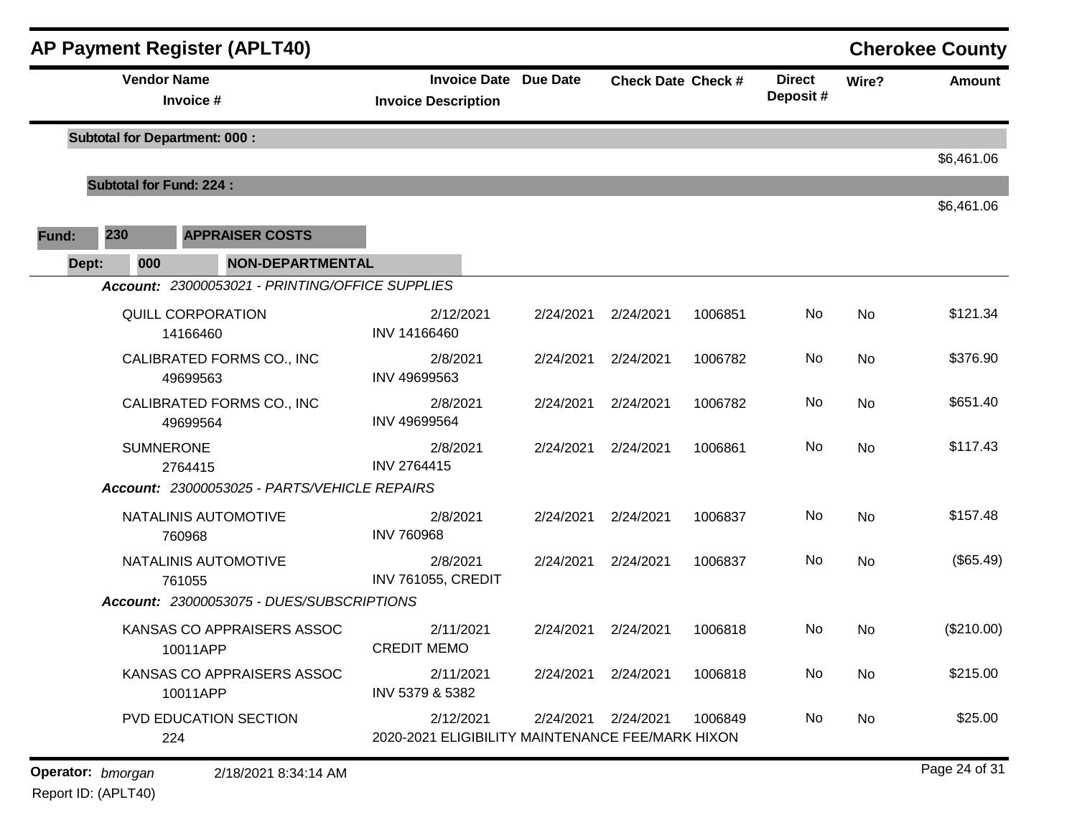| <b>AP Payment Register (APLT40)</b> |                                       |                                      |                                                 |                                                               |           |                           |         |                           |           | <b>Cherokee County</b> |
|-------------------------------------|---------------------------------------|--------------------------------------|-------------------------------------------------|---------------------------------------------------------------|-----------|---------------------------|---------|---------------------------|-----------|------------------------|
|                                     |                                       | <b>Vendor Name</b><br>Invoice #      |                                                 | <b>Invoice Date Due Date</b><br><b>Invoice Description</b>    |           | <b>Check Date Check #</b> |         | <b>Direct</b><br>Deposit# | Wire?     | <b>Amount</b>          |
|                                     | <b>Subtotal for Department: 000:</b>  |                                      |                                                 |                                                               |           |                           |         |                           |           | \$6,461.06             |
|                                     | <b>Subtotal for Fund: 224:</b>        |                                      |                                                 |                                                               |           |                           |         |                           |           |                        |
|                                     |                                       |                                      |                                                 |                                                               |           |                           |         |                           |           | \$6,461.06             |
| Fund:                               | 230                                   |                                      | <b>APPRAISER COSTS</b>                          |                                                               |           |                           |         |                           |           |                        |
| Dept:                               | 000                                   |                                      | <b>NON-DEPARTMENTAL</b>                         |                                                               |           |                           |         |                           |           |                        |
|                                     |                                       |                                      | Account: 23000053021 - PRINTING/OFFICE SUPPLIES |                                                               |           |                           |         |                           |           |                        |
|                                     |                                       | <b>QUILL CORPORATION</b><br>14166460 |                                                 | 2/12/2021<br>INV 14166460                                     | 2/24/2021 | 2/24/2021                 | 1006851 | No                        | <b>No</b> | \$121.34               |
|                                     | CALIBRATED FORMS CO., INC<br>49699563 |                                      | 2/8/2021<br>INV 49699563                        | 2/24/2021                                                     | 2/24/2021 | 1006782                   | No      | <b>No</b>                 | \$376.90  |                        |
|                                     |                                       | 49699564                             | CALIBRATED FORMS CO., INC                       | 2/8/2021<br>INV 49699564                                      | 2/24/2021 | 2/24/2021                 | 1006782 | No                        | <b>No</b> | \$651.40               |
|                                     |                                       | <b>SUMNERONE</b><br>2764415          |                                                 | 2/8/2021<br>INV 2764415                                       | 2/24/2021 | 2/24/2021                 | 1006861 | No                        | <b>No</b> | \$117.43               |
|                                     |                                       |                                      | Account: 23000053025 - PARTS/VEHICLE REPAIRS    |                                                               |           |                           |         |                           |           |                        |
|                                     |                                       | 760968                               | NATALINIS AUTOMOTIVE                            | 2/8/2021<br><b>INV 760968</b>                                 | 2/24/2021 | 2/24/2021                 | 1006837 | No                        | <b>No</b> | \$157.48               |
|                                     |                                       | 761055                               | NATALINIS AUTOMOTIVE                            | 2/8/2021<br><b>INV 761055, CREDIT</b>                         | 2/24/2021 | 2/24/2021                 | 1006837 | No                        | No        | (\$65.49)              |
|                                     |                                       |                                      | Account: 23000053075 - DUES/SUBSCRIPTIONS       |                                                               |           |                           |         |                           |           |                        |
|                                     |                                       | 10011APP                             | KANSAS CO APPRAISERS ASSOC                      | 2/11/2021<br><b>CREDIT MEMO</b>                               | 2/24/2021 | 2/24/2021                 | 1006818 | No                        | <b>No</b> | (\$210.00)             |
|                                     |                                       | 10011APP                             | KANSAS CO APPRAISERS ASSOC                      | 2/11/2021<br>INV 5379 & 5382                                  | 2/24/2021 | 2/24/2021                 | 1006818 | No                        | No        | \$215.00               |
|                                     |                                       | 224                                  | PVD EDUCATION SECTION                           | 2/12/2021<br>2020-2021 ELIGIBILITY MAINTENANCE FEE/MARK HIXON | 2/24/2021 | 2/24/2021                 | 1006849 | No                        | No        | \$25.00                |
| Operator: bmorgan                   |                                       |                                      | 2/18/2021 8:34:14 AM                            |                                                               |           |                           |         |                           |           | Page 24 of 31          |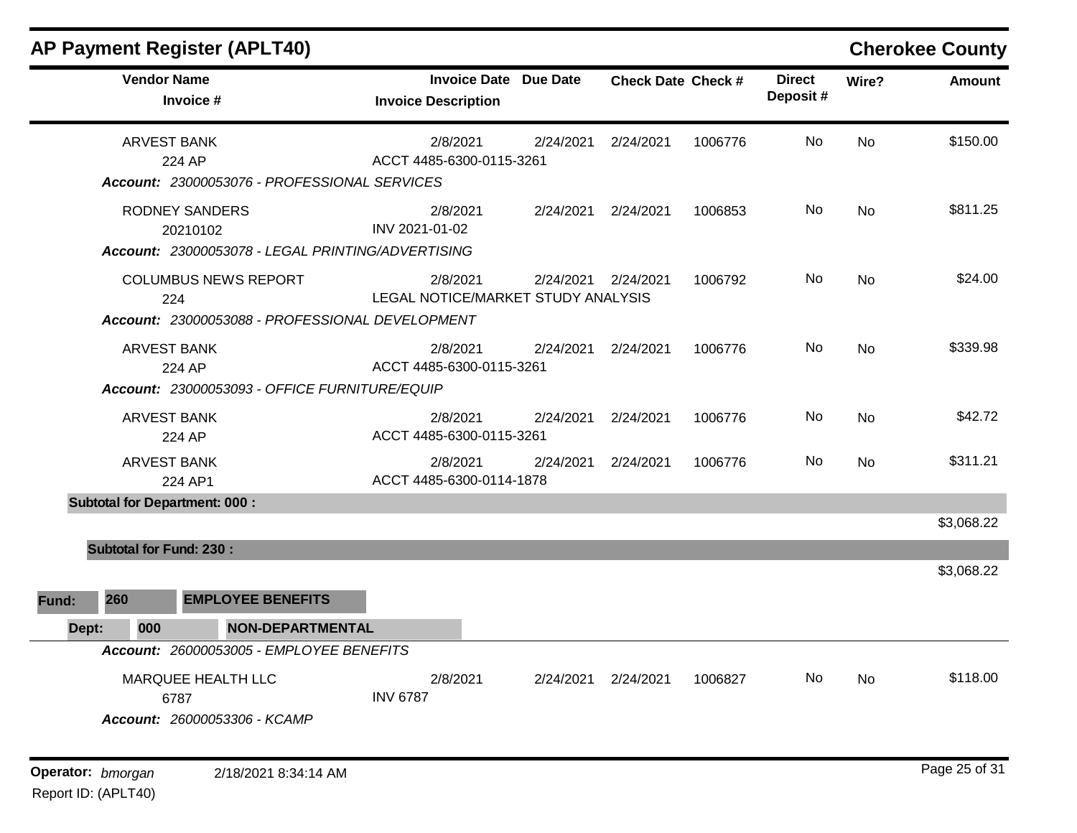|       |                                | <b>AP Payment Register (APLT40)</b>                                                    |                                                            |           |                           |         |                           |           | <b>Cherokee County</b> |
|-------|--------------------------------|----------------------------------------------------------------------------------------|------------------------------------------------------------|-----------|---------------------------|---------|---------------------------|-----------|------------------------|
|       |                                | <b>Vendor Name</b><br>Invoice #                                                        | <b>Invoice Date Due Date</b><br><b>Invoice Description</b> |           | <b>Check Date Check #</b> |         | <b>Direct</b><br>Deposit# | Wire?     | <b>Amount</b>          |
|       |                                | <b>ARVEST BANK</b><br>224 AP<br>Account: 23000053076 - PROFESSIONAL SERVICES           | 2/8/2021<br>ACCT 4485-6300-0115-3261                       | 2/24/2021 | 2/24/2021                 | 1006776 | No                        | <b>No</b> | \$150.00               |
|       |                                | <b>RODNEY SANDERS</b><br>20210102<br>Account: 23000053078 - LEGAL PRINTING/ADVERTISING | 2/8/2021<br>INV 2021-01-02                                 | 2/24/2021 | 2/24/2021                 | 1006853 | No.                       | <b>No</b> | \$811.25               |
|       |                                | <b>COLUMBUS NEWS REPORT</b><br>224<br>Account: 23000053088 - PROFESSIONAL DEVELOPMENT  | 2/8/2021<br>LEGAL NOTICE/MARKET STUDY ANALYSIS             | 2/24/2021 | 2/24/2021                 | 1006792 | No.                       | No        | \$24.00                |
|       |                                | <b>ARVEST BANK</b><br>224 AP<br>Account: 23000053093 - OFFICE FURNITURE/EQUIP          | 2/8/2021<br>ACCT 4485-6300-0115-3261                       | 2/24/2021 | 2/24/2021                 | 1006776 | No                        | <b>No</b> | \$339.98               |
|       |                                | <b>ARVEST BANK</b><br>224 AP                                                           | 2/8/2021<br>ACCT 4485-6300-0115-3261                       | 2/24/2021 | 2/24/2021                 | 1006776 | No                        | <b>No</b> | \$42.72                |
|       |                                | <b>ARVEST BANK</b><br>224 AP1                                                          | 2/8/2021<br>ACCT 4485-6300-0114-1878                       | 2/24/2021 | 2/24/2021                 | 1006776 | No.                       | No        | \$311.21               |
|       |                                | <b>Subtotal for Department: 000:</b>                                                   |                                                            |           |                           |         |                           |           | \$3,068.22             |
|       | <b>Subtotal for Fund: 230:</b> |                                                                                        |                                                            |           |                           |         |                           |           | \$3,068.22             |
| Fund: | 260                            | <b>EMPLOYEE BENEFITS</b>                                                               |                                                            |           |                           |         |                           |           |                        |
| Dept: | 000                            | <b>NON-DEPARTMENTAL</b><br>Account: 26000053005 - EMPLOYEE BENEFITS                    |                                                            |           |                           |         |                           |           |                        |
|       |                                | MARQUEE HEALTH LLC<br>6787<br>Account: 26000053306 - KCAMP                             | 2/8/2021<br><b>INV 6787</b>                                | 2/24/2021 | 2/24/2021                 | 1006827 | No.                       | <b>No</b> | \$118.00               |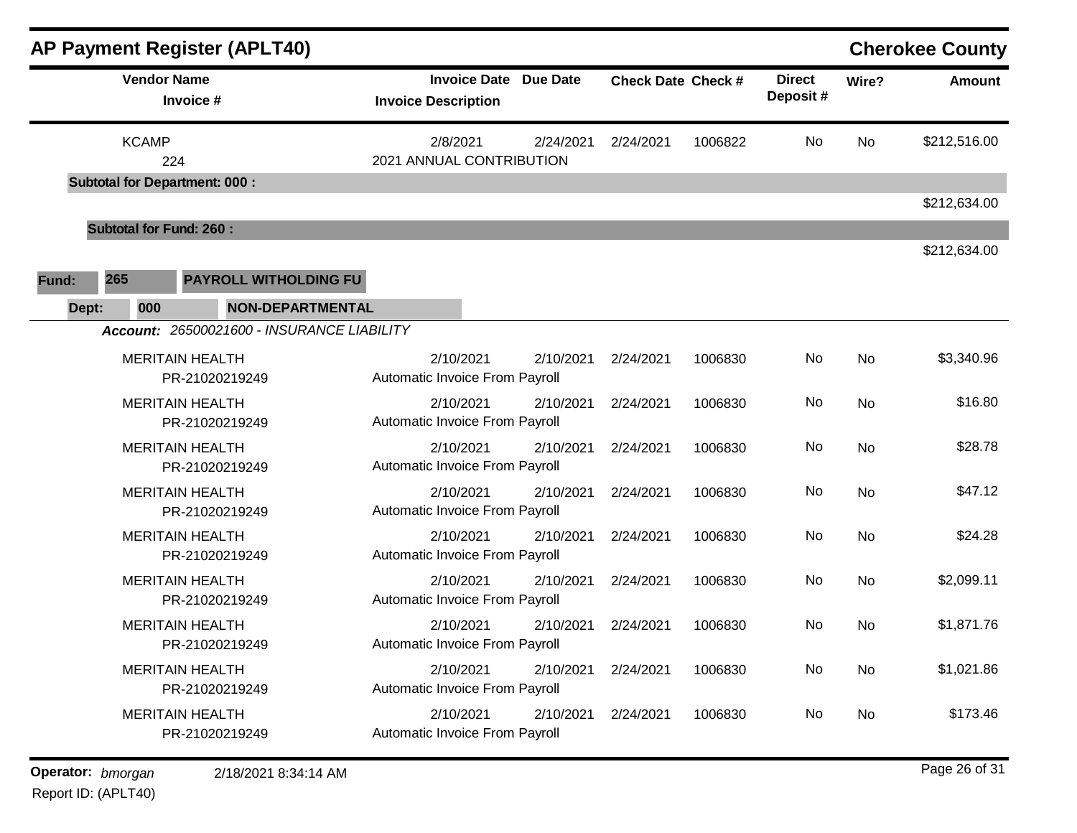| <b>AP Payment Register (APLT40)</b>                                                   |                                                            |           |                           |         |                           |           | <b>Cherokee County</b> |
|---------------------------------------------------------------------------------------|------------------------------------------------------------|-----------|---------------------------|---------|---------------------------|-----------|------------------------|
| <b>Vendor Name</b><br>Invoice #                                                       | <b>Invoice Date Due Date</b><br><b>Invoice Description</b> |           | <b>Check Date Check #</b> |         | <b>Direct</b><br>Deposit# | Wire?     | <b>Amount</b>          |
| <b>KCAMP</b><br>224                                                                   | 2/8/2021<br>2021 ANNUAL CONTRIBUTION                       | 2/24/2021 | 2/24/2021                 | 1006822 | No                        | <b>No</b> | \$212,516.00           |
| <b>Subtotal for Department: 000:</b>                                                  |                                                            |           |                           |         |                           |           | \$212,634.00           |
| <b>Subtotal for Fund: 260:</b>                                                        |                                                            |           |                           |         |                           |           |                        |
| 265<br><b>PAYROLL WITHOLDING FU</b><br>Fund:                                          |                                                            |           |                           |         |                           |           | \$212,634.00           |
| <b>NON-DEPARTMENTAL</b><br>000<br>Dept:<br>Account: 26500021600 - INSURANCE LIABILITY |                                                            |           |                           |         |                           |           |                        |
| <b>MERITAIN HEALTH</b><br>PR-21020219249                                              | 2/10/2021<br>Automatic Invoice From Payroll                | 2/10/2021 | 2/24/2021                 | 1006830 | No                        | No        | \$3,340.96             |
| <b>MERITAIN HEALTH</b><br>PR-21020219249                                              | 2/10/2021<br>Automatic Invoice From Payroll                | 2/10/2021 | 2/24/2021                 | 1006830 | No                        | <b>No</b> | \$16.80                |
| <b>MERITAIN HEALTH</b><br>PR-21020219249                                              | 2/10/2021<br>Automatic Invoice From Payroll                | 2/10/2021 | 2/24/2021                 | 1006830 | No                        | <b>No</b> | \$28.78                |
| <b>MERITAIN HEALTH</b><br>PR-21020219249                                              | 2/10/2021<br>Automatic Invoice From Payroll                | 2/10/2021 | 2/24/2021                 | 1006830 | No                        | No        | \$47.12                |
| <b>MERITAIN HEALTH</b><br>PR-21020219249                                              | 2/10/2021<br>Automatic Invoice From Payroll                | 2/10/2021 | 2/24/2021                 | 1006830 | No                        | No        | \$24.28                |
| <b>MERITAIN HEALTH</b><br>PR-21020219249                                              | 2/10/2021<br>Automatic Invoice From Payroll                | 2/10/2021 | 2/24/2021                 | 1006830 | No                        | No        | \$2,099.11             |
| <b>MERITAIN HEALTH</b><br>PR-21020219249                                              | 2/10/2021<br>Automatic Invoice From Payroll                | 2/10/2021 | 2/24/2021                 | 1006830 | No                        | No        | \$1,871.76             |
| <b>MERITAIN HEALTH</b><br>PR-21020219249                                              | 2/10/2021<br>Automatic Invoice From Payroll                | 2/10/2021 | 2/24/2021                 | 1006830 | No                        | No        | \$1,021.86             |
| <b>MERITAIN HEALTH</b><br>PR-21020219249                                              | 2/10/2021<br>Automatic Invoice From Payroll                | 2/10/2021 | 2/24/2021                 | 1006830 | No                        | No        | \$173.46               |

**Operator:** bmorgan 2/18/2021 8:34:14 AM **bigger 26 of 31 bigger 26 of 31 bigger 26 of 31**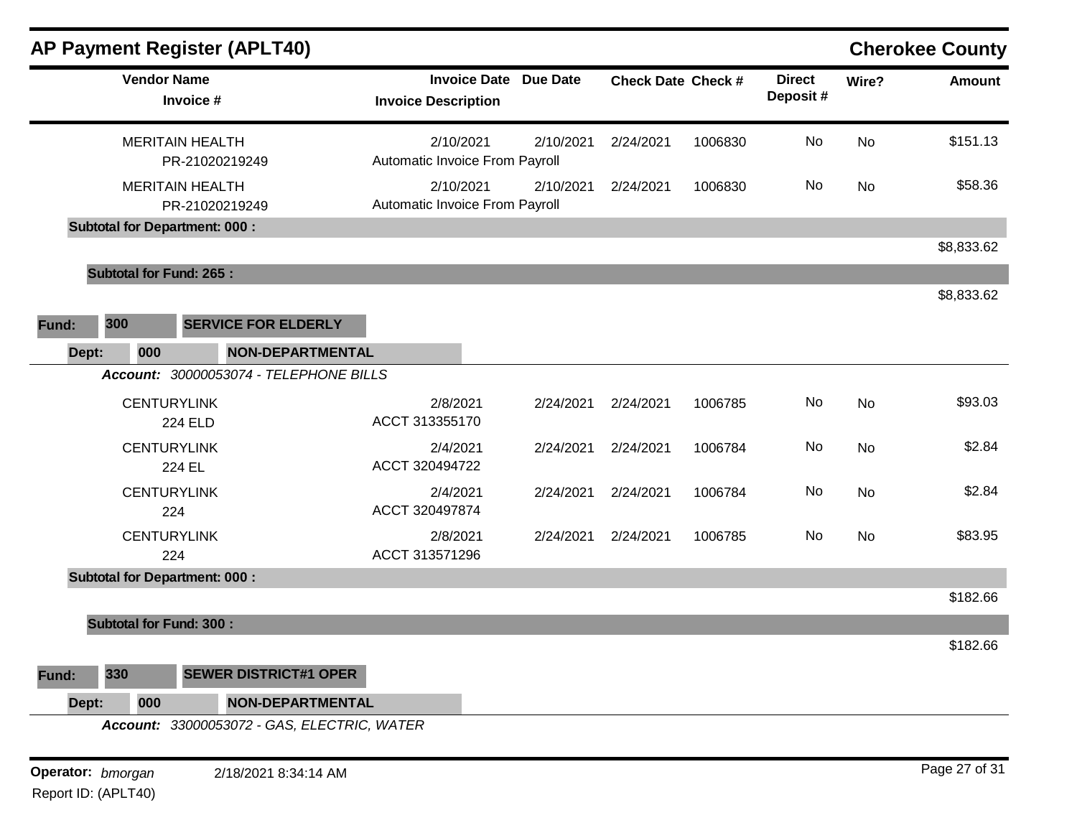|                   | <b>AP Payment Register (APLT40)</b>         |                                                            |           |                           |         |                           |           | <b>Cherokee County</b> |
|-------------------|---------------------------------------------|------------------------------------------------------------|-----------|---------------------------|---------|---------------------------|-----------|------------------------|
|                   | <b>Vendor Name</b><br>Invoice #             | <b>Invoice Date Due Date</b><br><b>Invoice Description</b> |           | <b>Check Date Check #</b> |         | <b>Direct</b><br>Deposit# | Wire?     | <b>Amount</b>          |
|                   | <b>MERITAIN HEALTH</b><br>PR-21020219249    | 2/10/2021<br>Automatic Invoice From Payroll                | 2/10/2021 | 2/24/2021                 | 1006830 | No                        | <b>No</b> | \$151.13               |
|                   | <b>MERITAIN HEALTH</b><br>PR-21020219249    | 2/10/2021<br>Automatic Invoice From Payroll                | 2/10/2021 | 2/24/2021                 | 1006830 | <b>No</b>                 | <b>No</b> | \$58.36                |
|                   | <b>Subtotal for Department: 000:</b>        |                                                            |           |                           |         |                           |           | \$8,833.62             |
|                   | <b>Subtotal for Fund: 265:</b>              |                                                            |           |                           |         |                           |           |                        |
| 300<br>Fund:      | <b>SERVICE FOR ELDERLY</b>                  |                                                            |           |                           |         |                           |           | \$8,833.62             |
| Dept:             | <b>NON-DEPARTMENTAL</b><br>000              |                                                            |           |                           |         |                           |           |                        |
|                   | Account: 30000053074 - TELEPHONE BILLS      |                                                            |           |                           |         |                           |           |                        |
|                   | <b>CENTURYLINK</b><br><b>224 ELD</b>        | 2/8/2021<br>ACCT 313355170                                 | 2/24/2021 | 2/24/2021                 | 1006785 | No                        | No        | \$93.03                |
|                   | <b>CENTURYLINK</b><br>224 EL                | 2/4/2021<br>ACCT 320494722                                 | 2/24/2021 | 2/24/2021                 | 1006784 | No                        | No        | \$2.84                 |
|                   | <b>CENTURYLINK</b><br>224                   | 2/4/2021<br>ACCT 320497874                                 | 2/24/2021 | 2/24/2021                 | 1006784 | <b>No</b>                 | No        | \$2.84                 |
|                   | <b>CENTURYLINK</b><br>224                   | 2/8/2021<br>ACCT 313571296                                 | 2/24/2021 | 2/24/2021                 | 1006785 | <b>No</b>                 | <b>No</b> | \$83.95                |
|                   | <b>Subtotal for Department: 000:</b>        |                                                            |           |                           |         |                           |           |                        |
|                   | <b>Subtotal for Fund: 300:</b>              |                                                            |           |                           |         |                           |           | \$182.66               |
|                   |                                             |                                                            |           |                           |         |                           |           | \$182.66               |
| 330<br>Fund:      | <b>SEWER DISTRICT#1 OPER</b>                |                                                            |           |                           |         |                           |           |                        |
| Dept:             | <b>NON-DEPARTMENTAL</b><br>000              |                                                            |           |                           |         |                           |           |                        |
|                   | Account: 33000053072 - GAS, ELECTRIC, WATER |                                                            |           |                           |         |                           |           |                        |
| Operator: bmorgan | 2/18/2021 8:34:14 AM                        |                                                            |           |                           |         |                           |           | Page 27 of 31          |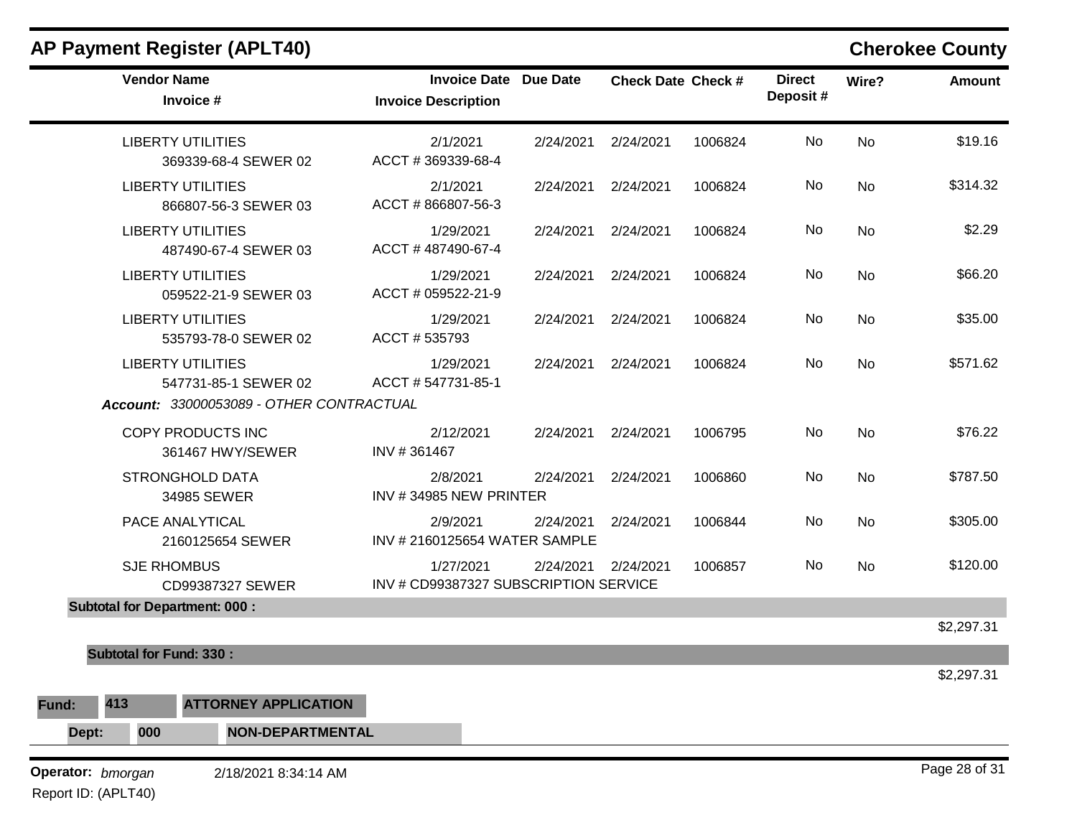| AP Payment Register (APLT40) |  |  |
|------------------------------|--|--|
|------------------------------|--|--|

## **Cherokee County**

|                                          | <b>Vendor Name</b><br>Invoice #                  | <b>Invoice Date Due Date</b><br><b>Invoice Description</b> |           | <b>Check Date Check #</b> |         | <b>Direct</b><br>Deposit# | Wire?     | <b>Amount</b> |
|------------------------------------------|--------------------------------------------------|------------------------------------------------------------|-----------|---------------------------|---------|---------------------------|-----------|---------------|
|                                          | <b>LIBERTY UTILITIES</b><br>369339-68-4 SEWER 02 | 2/1/2021<br>ACCT #369339-68-4                              | 2/24/2021 | 2/24/2021                 | 1006824 | No                        | <b>No</b> | \$19.16       |
|                                          | <b>LIBERTY UTILITIES</b><br>866807-56-3 SEWER 03 | 2/1/2021<br>ACCT #866807-56-3                              | 2/24/2021 | 2/24/2021                 | 1006824 | No                        | No        | \$314.32      |
|                                          | <b>LIBERTY UTILITIES</b><br>487490-67-4 SEWER 03 | 1/29/2021<br>ACCT #487490-67-4                             | 2/24/2021 | 2/24/2021                 | 1006824 | No                        | No        | \$2.29        |
|                                          | <b>LIBERTY UTILITIES</b><br>059522-21-9 SEWER 03 | 1/29/2021<br>ACCT # 059522-21-9                            | 2/24/2021 | 2/24/2021                 | 1006824 | No                        | No        | \$66.20       |
|                                          | <b>LIBERTY UTILITIES</b><br>535793-78-0 SEWER 02 | 1/29/2021<br>ACCT # 535793                                 | 2/24/2021 | 2/24/2021                 | 1006824 | No                        | No        | \$35.00       |
|                                          | <b>LIBERTY UTILITIES</b><br>547731-85-1 SEWER 02 | 1/29/2021<br>ACCT # 547731-85-1                            | 2/24/2021 | 2/24/2021                 | 1006824 | No                        | <b>No</b> | \$571.62      |
|                                          | Account: 33000053089 - OTHER CONTRACTUAL         |                                                            |           |                           |         |                           |           |               |
|                                          | COPY PRODUCTS INC<br>361467 HWY/SEWER            | 2/12/2021<br>INV #361467                                   | 2/24/2021 | 2/24/2021                 | 1006795 | No                        | No        | \$76.22       |
|                                          | <b>STRONGHOLD DATA</b><br>34985 SEWER            | 2/8/2021<br>INV #34985 NEW PRINTER                         | 2/24/2021 | 2/24/2021                 | 1006860 | No                        | <b>No</b> | \$787.50      |
|                                          | PACE ANALYTICAL<br>2160125654 SEWER              | 2/9/2021<br>INV # 2160125654 WATER SAMPLE                  | 2/24/2021 | 2/24/2021                 | 1006844 | No                        | <b>No</b> | \$305.00      |
|                                          | <b>SJE RHOMBUS</b><br>CD99387327 SEWER           | 1/27/2021<br>INV # CD99387327 SUBSCRIPTION SERVICE         | 2/24/2021 | 2/24/2021                 | 1006857 | No                        | <b>No</b> | \$120.00      |
|                                          | <b>Subtotal for Department: 000:</b>             |                                                            |           |                           |         |                           |           |               |
|                                          |                                                  |                                                            |           |                           |         |                           |           | \$2,297.31    |
| <b>Subtotal for Fund: 330:</b>           |                                                  |                                                            |           |                           |         |                           |           |               |
| 413<br>Fund:                             | <b>ATTORNEY APPLICATION</b>                      |                                                            |           |                           |         |                           |           | \$2,297.31    |
| Dept:<br>000                             | <b>NON-DEPARTMENTAL</b>                          |                                                            |           |                           |         |                           |           |               |
|                                          |                                                  |                                                            |           |                           |         |                           |           | Page 28 of 31 |
| Operator: bmorgan<br>Report ID: (APLT40) | 2/18/2021 8:34:14 AM                             |                                                            |           |                           |         |                           |           |               |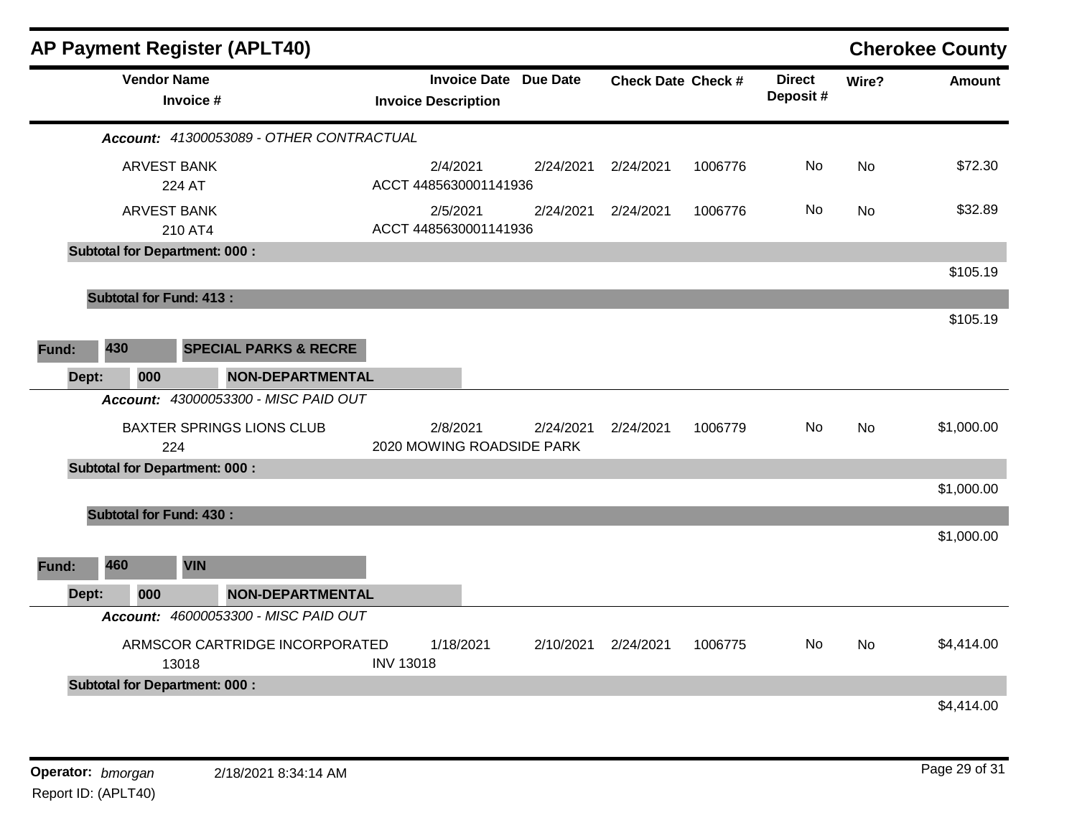|       |                                      |                                 | <b>AP Payment Register (APLT40)</b>      |                                       |           |                              |                    |         |                           |           | <b>Cherokee County</b> |
|-------|--------------------------------------|---------------------------------|------------------------------------------|---------------------------------------|-----------|------------------------------|--------------------|---------|---------------------------|-----------|------------------------|
|       |                                      | <b>Vendor Name</b><br>Invoice # |                                          | <b>Invoice Description</b>            |           | <b>Invoice Date Due Date</b> | Check Date Check # |         | <b>Direct</b><br>Deposit# | Wire?     | <b>Amount</b>          |
|       |                                      |                                 | Account: 41300053089 - OTHER CONTRACTUAL |                                       |           |                              |                    |         |                           |           |                        |
|       |                                      | <b>ARVEST BANK</b><br>224 AT    |                                          | 2/4/2021<br>ACCT 4485630001141936     |           | 2/24/2021                    | 2/24/2021          | 1006776 | No                        | <b>No</b> | \$72.30                |
|       |                                      | <b>ARVEST BANK</b><br>210 AT4   |                                          | 2/5/2021<br>ACCT 4485630001141936     |           | 2/24/2021                    | 2/24/2021          | 1006776 | No                        | <b>No</b> | \$32.89                |
|       | <b>Subtotal for Department: 000:</b> |                                 |                                          |                                       |           |                              |                    |         |                           |           |                        |
|       |                                      |                                 |                                          |                                       |           |                              |                    |         |                           |           | \$105.19               |
|       | <b>Subtotal for Fund: 413:</b>       |                                 |                                          |                                       |           |                              |                    |         |                           |           |                        |
|       |                                      |                                 |                                          |                                       |           |                              |                    |         |                           |           | \$105.19               |
| Fund: | 430                                  |                                 | <b>SPECIAL PARKS &amp; RECRE</b>         |                                       |           |                              |                    |         |                           |           |                        |
|       | 000<br>Dept:                         |                                 | <b>NON-DEPARTMENTAL</b>                  |                                       |           |                              |                    |         |                           |           |                        |
|       |                                      |                                 | Account: 43000053300 - MISC PAID OUT     |                                       |           |                              |                    |         |                           |           |                        |
|       |                                      | 224                             | <b>BAXTER SPRINGS LIONS CLUB</b>         | 2/8/2021<br>2020 MOWING ROADSIDE PARK |           | 2/24/2021                    | 2/24/2021          | 1006779 | No.                       | <b>No</b> | \$1,000.00             |
|       | <b>Subtotal for Department: 000:</b> |                                 |                                          |                                       |           |                              |                    |         |                           |           |                        |
|       |                                      |                                 |                                          |                                       |           |                              |                    |         |                           |           | \$1,000.00             |
|       | <b>Subtotal for Fund: 430:</b>       |                                 |                                          |                                       |           |                              |                    |         |                           |           |                        |
|       |                                      |                                 |                                          |                                       |           |                              |                    |         |                           |           | \$1,000.00             |
| Fund: | 460                                  | <b>VIN</b>                      |                                          |                                       |           |                              |                    |         |                           |           |                        |
|       | 000<br>Dept:                         |                                 | <b>NON-DEPARTMENTAL</b>                  |                                       |           |                              |                    |         |                           |           |                        |
|       |                                      |                                 | Account: 46000053300 - MISC PAID OUT     |                                       |           |                              |                    |         |                           |           |                        |
|       |                                      | 13018                           | ARMSCOR CARTRIDGE INCORPORATED           | <b>INV 13018</b>                      | 1/18/2021 | 2/10/2021                    | 2/24/2021          | 1006775 | No                        | <b>No</b> | \$4,414.00             |
|       | <b>Subtotal for Department: 000:</b> |                                 |                                          |                                       |           |                              |                    |         |                           |           |                        |
|       |                                      |                                 |                                          |                                       |           |                              |                    |         |                           |           | \$4,414.00             |
|       |                                      |                                 |                                          |                                       |           |                              |                    |         |                           |           |                        |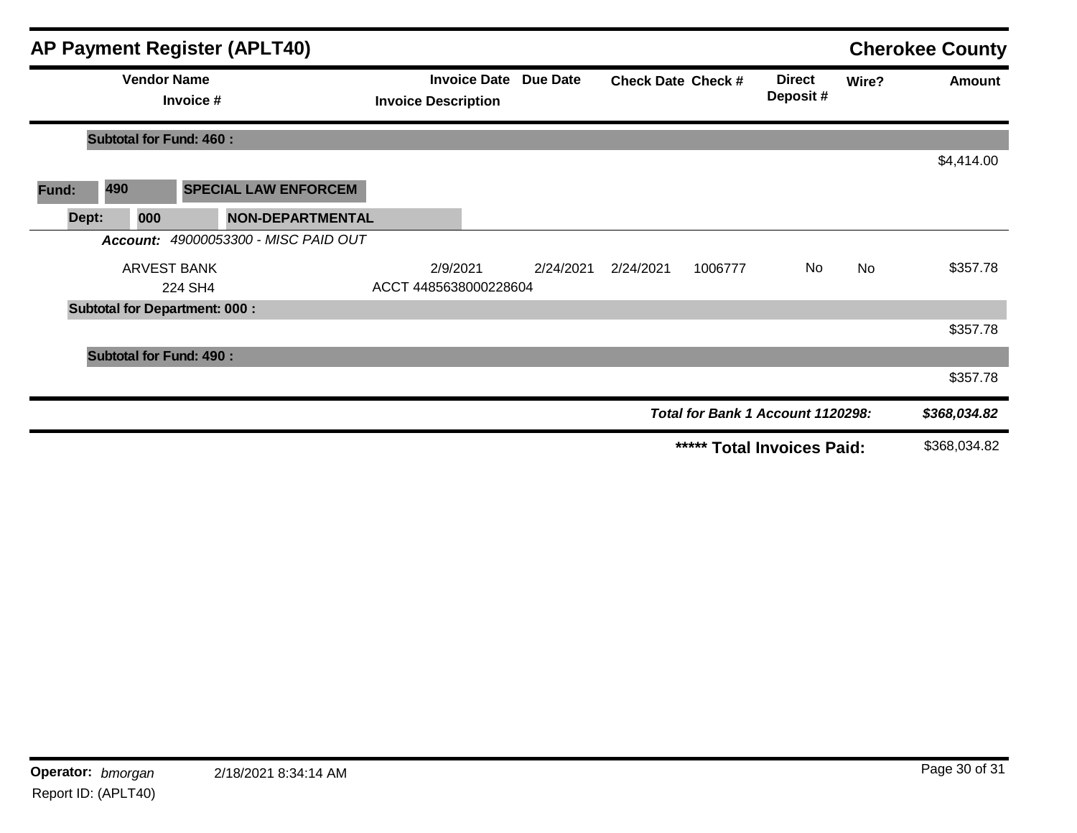| <b>AP Payment Register (APLT40)</b> |                                      |                               |                                      |                                   |  |                              | <b>Cherokee County</b>    |         |                                   |           |              |
|-------------------------------------|--------------------------------------|-------------------------------|--------------------------------------|-----------------------------------|--|------------------------------|---------------------------|---------|-----------------------------------|-----------|--------------|
|                                     | <b>Vendor Name</b><br>Invoice #      |                               |                                      | <b>Invoice Description</b>        |  | <b>Invoice Date Due Date</b> | <b>Check Date Check #</b> |         | <b>Direct</b><br>Deposit#         | Wire?     | Amount       |
|                                     | <b>Subtotal for Fund: 460:</b>       |                               |                                      |                                   |  |                              |                           |         |                                   |           |              |
|                                     |                                      |                               |                                      |                                   |  |                              |                           |         |                                   |           | \$4,414.00   |
| Fund:                               | 490                                  |                               | <b>SPECIAL LAW ENFORCEM</b>          |                                   |  |                              |                           |         |                                   |           |              |
| Dept:                               | 000                                  |                               | <b>NON-DEPARTMENTAL</b>              |                                   |  |                              |                           |         |                                   |           |              |
|                                     |                                      |                               | Account: 49000053300 - MISC PAID OUT |                                   |  |                              |                           |         |                                   |           |              |
|                                     |                                      | <b>ARVEST BANK</b><br>224 SH4 |                                      | 2/9/2021<br>ACCT 4485638000228604 |  | 2/24/2021                    | 2/24/2021                 | 1006777 | No                                | <b>No</b> | \$357.78     |
|                                     | <b>Subtotal for Department: 000:</b> |                               |                                      |                                   |  |                              |                           |         |                                   |           |              |
|                                     |                                      |                               |                                      |                                   |  |                              |                           |         |                                   |           | \$357.78     |
|                                     | <b>Subtotal for Fund: 490:</b>       |                               |                                      |                                   |  |                              |                           |         |                                   |           |              |
|                                     |                                      |                               |                                      |                                   |  |                              |                           |         |                                   |           | \$357.78     |
|                                     |                                      |                               |                                      |                                   |  |                              |                           |         | Total for Bank 1 Account 1120298: |           | \$368,034.82 |
|                                     |                                      |                               |                                      |                                   |  |                              |                           |         | ***** Total Invoices Paid:        |           | \$368,034.82 |